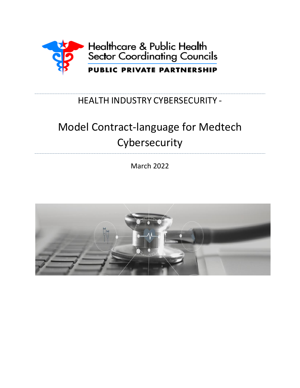

# HEALTH INDUSTRY CYBERSECURITY -

# Model Contract-language for Medtech Cybersecurity

March 2022

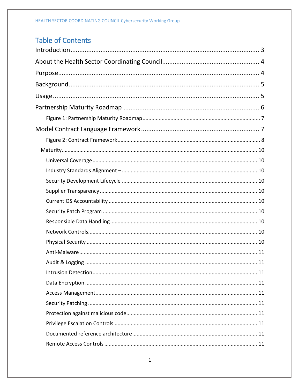# **Table of Contents**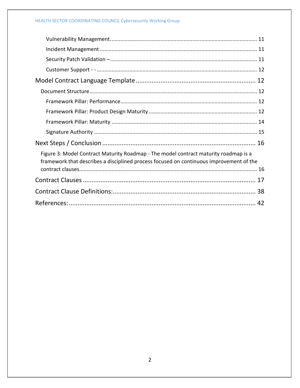# HEALTH SECTOR COORDINATING COUNCIL Cybersecurity Working Group

| Figure 3: Model Contract Maturity Roadmap - The model contract maturity roadmap is a<br>framework that describes a disciplined process focused on continuous improvement of the |
|---------------------------------------------------------------------------------------------------------------------------------------------------------------------------------|
|                                                                                                                                                                                 |
|                                                                                                                                                                                 |
|                                                                                                                                                                                 |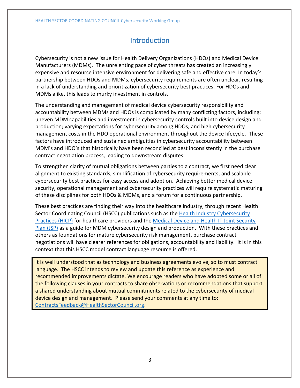# Introduction

<span id="page-3-0"></span>Cybersecurity is not a new issue for Health Delivery Organizations (HDOs) and Medical Device Manufacturers (MDMs). The unrelenting pace of cyber threats has created an increasingly expensive and resource intensive environment for delivering safe and effective care. In today's partnership between HDOs and MDMs, cybersecurity requirements are often unclear, resulting in a lack of understanding and prioritization of cybersecurity best practices. For HDOs and MDMs alike, this leads to murky investment in controls.

The understanding and management of medical device cybersecurity responsibility and accountability between MDMs and HDOs is complicated by many conflicting factors, including: uneven MDM capabilities and investment in cybersecurity controls built into device design and production; varying expectations for cybersecurity among HDOs; and high cybersecurity management costs in the HDO operational environment throughout the device lifecycle. These factors have introduced and sustained ambiguities in cybersecurity accountability between MDM's and HDO's that historically have been reconciled at best inconsistently in the purchase contract negotiation process, leading to downstream disputes.

To strengthen clarity of mutual obligations between parties to a contract, we first need clear alignment to existing standards, simplification of cybersecurity requirements, and scalable cybersecurity best practices for easy access and adoption. Achieving better medical device security, operational management and cybersecurity practices will require systematic maturing of these disciplines for both HDOs & MDMs, and a forum for a continuous partnership.

These best practices are finding their way into the healthcare industry, through recent Health Sector Coordinating Council (HSCC) publications such as the [Health Industry Cybersecurity](https://healthsectorcouncil.org/hicp/)  [Practices \(HICP\)](https://healthsectorcouncil.org/hicp/) for healthcare providers and the [Medical Device and Health IT Joint Security](https://healthsectorcouncil.org/wp-content/uploads/2020/06/HSCC-MEDTECH-JSP-v1.pdf)  [Plan \(JSP\)](https://healthsectorcouncil.org/wp-content/uploads/2020/06/HSCC-MEDTECH-JSP-v1.pdf) as a guide for MDM cybersecurity design and production. With these practices and others as foundations for mature cybersecurity risk management, purchase contract negotiations will have clearer references for obligations, accountability and liability. It is in this context that this HSCC model contract language resource is offered.

It is well understood that as technology and business agreements evolve, so to must contract language. The HSCC intends to review and update this reference as experience and recommended improvements dictate. We encourage readers who have adopted some or all of the following clauses in your contracts to share observations or recommendations that support a shared understanding about mutual commitments related to the cybersecurity of medical device design and management. Please send your comments at any time to: [ContractsFeedback@HealthSectorCouncil.org.](mailto:ContractsFeedback@HealthSectorCouncil.org)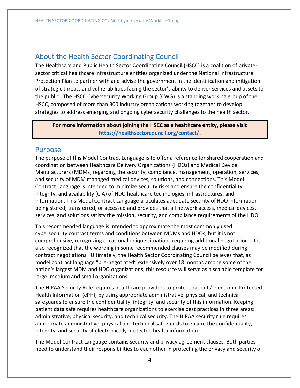# <span id="page-4-0"></span>About the Health Sector Coordinating Council

The Healthcare and Public Health Sector Coordinating Council (HSCC) is a coalition of privatesector critical healthcare infrastructure entities organized under the National Infrastructure Protection Plan to partner with and advise the government in the identification and mitigation of strategic threats and vulnerabilities facing the sector's ability to deliver services and assets to the public. The HSCC Cybersecurity Working Group (CWG) is a standing working group of the HSCC, composed of more than 300 industry organizations working together to develop strategies to address emerging and ongoing cybersecurity challenges to the health sector.

**For more information about joining the HSCC as a healthcare entity, please visit [https://healthsectorcouncil.org/contact/.](https://healthsectorcouncil.org/contact/)**

# <span id="page-4-1"></span>Purpose

The purpose of this Model Contract Language is to offer a reference for shared cooperation and coordination between Healthcare Delivery Organizations (HDOs) and Medical Device Manufacturers (MDMs) regarding the security, compliance, management, operation, services, and security of MDM managed medical devices, solutions, and connections. This Model Contract Language is intended to minimize security risks and ensure the confidentiality, integrity, and availability (CIA) of HDO healthcare technologies, infrastructures, and information. This Model Contract Language articulates adequate security of HDO information being stored, transferred, or accessed and provides that all network access, medical devices, services, and solutions satisfy the mission, security, and compliance requirements of the HDO.

This recommended language is intended to approximate the most commonly used cybersecurity contract terms and conditions between MDMs and HDOs, but it is not comprehensive, recognizing occasional unique situations requiring additional negotiation. It is also recognized that the wording in some recommended clauses may be modified during contract negotiations. Ultimately, the Health Sector Coordinating Council believes that, as model contract language "pre-negotiated" extensively over 18 months among some of the nation's largest MDM and HDO organizations, this resource will serve as a scalable template for large, medium and small organizations.

The HIPAA Security Rule requires healthcare providers to protect patients' electronic Protected Health Information (ePHI) by using appropriate administrative, physical, and technical safeguards to ensure the confidentiality, integrity, and security of this information. Keeping patient data safe requires healthcare organizations to exercise best practices in three areas: administrative, physical security, and technical security. The HIPAA security rule requires appropriate administrative, physical and technical safeguards to ensure the confidentiality, integrity, and security of electronically protected health information.

The Model Contract Language contains security and privacy agreement clauses. Both parties need to understand their responsibilities to each other in protecting the privacy and security of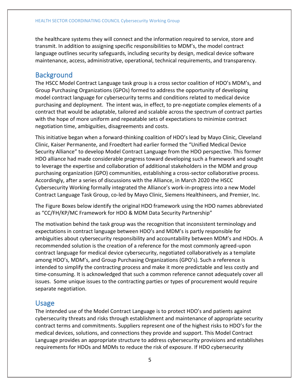the healthcare systems they will connect and the information required to service, store and transmit. In addition to assigning specific responsibilities to MDM's, the model contract language outlines security safeguards, including security by design, medical device software maintenance, access, administrative, operational, technical requirements, and transparency.

# <span id="page-5-0"></span>**Background**

The HSCC Model Contract Language task group is a cross sector coalition of HDO's MDM's, and Group Purchasing Organizations (GPOs) formed to address the opportunity of developing model contract language for cybersecurity terms and conditions related to medical device purchasing and deployment. The intent was, in effect, to pre-negotiate complex elements of a contract that would be adaptable, tailored and scalable across the spectrum of contract parties with the hope of more uniform and repeatable sets of expectations to minimize contract negotiation time, ambiguities, disagreements and costs.

This initiative began when a forward-thinking coalition of HDO's lead by Mayo Clinic, Cleveland Clinic, Kaiser Permanente, and Froedtert had earlier formed the "Unified Medical Device Security Alliance" to develop Model Contract Language from the HDO perspective. This former HDO alliance had made considerable progress toward developing such a framework and sought to leverage the expertise and collaboration of additional stakeholders in the MDM and group purchasing organization (GPO) communities, establishing a cross-sector collaborative process. Accordingly, after a series of discussions with the Alliance, in March 2020 the HSCC Cybersecurity Working formally integrated the Alliance's work-in-progress into a new Model Contract Language Task Group, co-led by Mayo Clinic, Siemens Healthineers, and Premier, Inc.

The Figure Boxes below identify the original HDO framework using the HDO names abbreviated as "CC/FH/KP/MC Framework for HDO & MDM Data Security Partnership"

The motivation behind the task group was the recognition that inconsistent terminology and expectations in contract language between HDO's and MDM's is partly responsible for ambiguities about cybersecurity responsibility and accountability between MDM's and HDOs. A recommended solution is the creation of a reference for the most commonly agreed-upon contract language for medical device cybersecurity, negotiated collaboratively as a template among HDO's, MDM's, and Group Purchasing Organizations (GPO's). Such a reference is intended to simplify the contracting process and make it more predictable and less costly and time-consuming. It is acknowledged that such a common reference cannot adequately cover all issues. Some unique issues to the contracting parties or types of procurement would require separate negotiation.

# <span id="page-5-1"></span>Usage

The intended use of the Model Contract Language is to protect HDO's and patients against cybersecurity threats and risks through establishment and maintenance of appropriate security contract terms and commitments. Suppliers represent one of the highest risks to HDO's for the medical devices, solutions, and connections they provide and support. This Model Contract Language provides an appropriate structure to address cybersecurity provisions and establishes requirements for HDOs and MDMs to reduce the risk of exposure. If HDO cybersecurity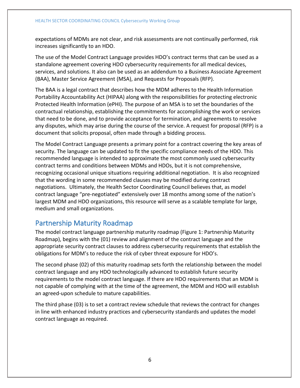expectations of MDMs are not clear, and risk assessments are not continually performed, risk increases significantly to an HDO.

The use of the Model Contract Language provides HDO's contract terms that can be used as a standalone agreement covering HDO cybersecurity requirements for all medical devices, services, and solutions. It also can be used as an addendum to a Business Associate Agreement (BAA), Master Service Agreement (MSA), and Requests for Proposals (RFP).

The BAA is a legal contract that describes how the MDM adheres to the Health Information Portability Accountability Act (HIPAA) along with the responsibilities for protecting electronic Protected Health Information (ePHI). The purpose of an MSA is to set the boundaries of the contractual relationship, establishing the commitments for accomplishing the work or services that need to be done, and to provide acceptance for termination, and agreements to resolve any disputes, which may arise during the course of the service. A request for proposal (RFP) is a document that solicits proposal, often made through a bidding process*.*

The Model Contract Language presents a primary point for a contract covering the key areas of security. The language can be updated to fit the specific compliance needs of the HDO. This recommended language is intended to approximate the most commonly used cybersecurity contract terms and conditions between MDMs and HDOs, but it is not comprehensive, recognizing occasional unique situations requiring additional negotiation. It is also recognized that the wording in some recommended clauses may be modified during contract negotiations. Ultimately, the Health Sector Coordinating Council believes that, as model contract language "pre-negotiated" extensively over 18 months among some of the nation's largest MDM and HDO organizations, this resource will serve as a scalable template for large, medium and small organizations.

# <span id="page-6-0"></span>Partnership Maturity Roadmap

The model contract language partnership maturity roadmap (Figure 1: Partnership Maturity Roadmap), begins with the (01) review and alignment of the contract language and the appropriate security contract clauses to address cybersecurity requirements that establish the obligations for MDM's to reduce the risk of cyber threat exposure for HDO's.

The second phase (02) of this maturity roadmap sets forth the relationship between the model contract language and any HDO technologically advanced to establish future security requirements to the model contract language. If there are HDO requirements that an MDM is not capable of complying with at the time of the agreement, the MDM and HDO will establish an agreed-upon schedule to mature capabilities.

The third phase (03) is to set a contract review schedule that reviews the contract for changes in line with enhanced industry practices and cybersecurity standards and updates the model contract language as required.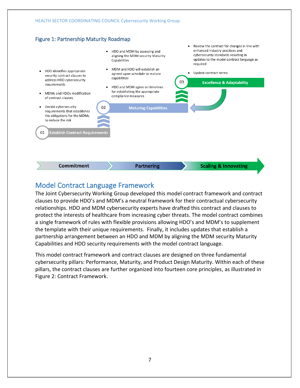# <span id="page-7-0"></span>Figure 1: Partnership Maturity Roadmap



# <span id="page-7-1"></span>Model Contract Language Framework

The Joint Cybersecurity Working Group developed this model contract framework and contract clauses to provide HDO's and MDM's a neutral framework for their contractual cybersecurity relationships. HDO and MDM cybersecurity experts have drafted this contract and clauses to protect the interests of healthcare from increasing cyber threats. The model contract combines a single framework of rules with flexible provisions allowing HDO's and MDM's to supplement the template with their unique requirements. Finally, it includes updates that establish a partnership arrangement between an HDO and MDM by aligning the MDM security Maturity Capabilities and HDO security requirements with the model contract language.

This model contract framework and contract clauses are designed on three fundamental cybersecurity pillars: Performance, Maturity, and Product Design Maturity. Within each of these pillars, the contract clauses are further organized into fourteen core principles, as illustrated in Figure 2: Contract Framework.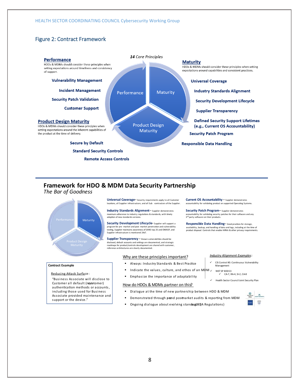# <span id="page-8-0"></span>Figure 2: Contract Framework



# **Framework for HDO & MDM Data Security Partnership**

### **The Bar of Goodness**



Universal Coverage-Security requirements apply to all Customer ons, all Supplier infrastructure, and all Sub -contractors of the Supplier

**Industry Standards Alignment**- supplier demonstrates maximum adherence to industry regulations & standards, with timely<br>adoption of new standards versions.

Security Development Lifecycle-Supplier will support a program for pre -market and post -market penetration and vulnerability<br>testing, Supplier maintains awareness of SANS top 25 and OWASP, and Supplier infrastructure is monitored 24x7.

**Supplier Transparency** - Known vulnerabilities should be disclosed, default accounts and settings are documented, and strategic roadmaps for product/controls development are shared with customer, reference architectures are clearly documented.

#### Why are these principles important?

- Always: Industry Standards & Best Practice
- Indicate the values, culture, and ethos of an MDM  $\checkmark$  survestigation
- **Emphasize the importance of adaptability**

accountability for validating product on supported Operating Systems.

**Current OS Accountability** - Supplier demonstrates

**Security Patch Program** - Supplier demonstrates accountability for validating security patches for their software and any<br>3<sup>rd</sup> party software on their products.

**Responsible Data Handling-Good practices for storage,** availability, backup, and handling of data and logs, including at the time of<br>product disposal. Controls that enable HIPAA & other privacy requirements.

Management

CIS Control #3: Continuous Vulnerability

**Industry Alignment Examples:** 

CA-7, RA-4, SI-2, CA-8  $\checkmark$  Health Sector Council Joint Security Plan

#### **Contract Example**

#### Reducing Attack Surface:

"Business Associate will disclose to Customer all default (non stomer) authentication methods or accounts, including those used for Business Associate provided maintenance and support or the device."

# How do HDOs & MDMs partner on this?

- Dialogue at the time of new partnership between HDO & MDM
- Demonstrated through pænd pos-market audits & reporting from MDM
- Ongoing dialogue about evolving standa.glED(A Regulations)



#### 8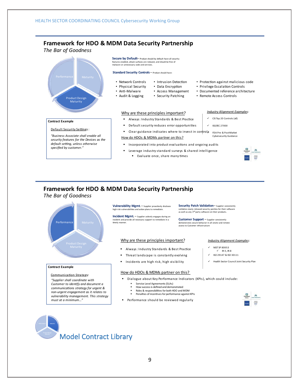# **Framework for HDO & MDM Data Security Partnership**

**The Bar of Goodness** 



# **Framework for HDO & MDM Data Security Partnership**

#### **The Bar of Goodness**



#### **Contract Example**

Communication Strategy: "Sunnlier shall coordinate with **Customer to identify and document a** communications strategy for urgent & non-urgent engagement as it relates to vulnerability management. This strategy must at a minimum...<sup>4</sup>

**Vulnerability Mgmt** - Supplier proactively discloses high risk vulnerabilities and action plans to remediate.

**Incident Mgmt.** - Supplier actively engages during an incident and provide all necessary support to remediate in a<br>timely manner.

#### Why are these principles important?

Always: Industry Standards & Best Practice

Leverage industry standard surveys & shared intelligence

valuate once, share many times

- **Threat landscape is constantly evolving**
- **Incidents are high risk, high visibility**

#### How do HDOs & MDMs partner on this?

- Dialogue about Key Performance Indicators (KPIs), which could include
	- **Service Level Agreements (SLAs)**
	- How success is defined and demonstrated Roles & responsibilities for both HDO and MDM
	- **Penalties of incentives for performance against KPIs**
- **Performance should be reviewed regularly**

**Industry Alignment Examples:** 

NIST SP 800-53

**Security Patch Validation** - Supplier consistently validates newly released security patches for their software<br>as well as any 3<sup>rd</sup> party software on their products.

**Customer Support** - Supplier consistently demonstrates secure behavior in all onsite and remote access to Customer infrastructure

- $\checkmark$  IR-5, IR-8
- $\checkmark$  ISO 29147 & ISO 30111
- $\checkmark$  Health Sector Council Joint Security Plan
- 
- 
- 
-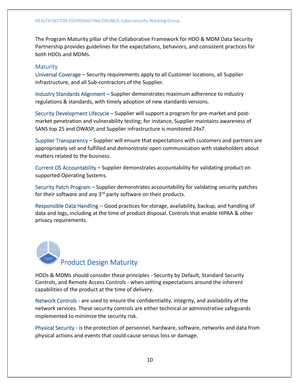The Program Maturity pillar of the Collaborative Framework for HDO & MDM Data Security Partnership provides guidelines for the expectations, behaviors, and consistent practices for both HDOs and MDMs.

# <span id="page-10-0"></span>**Maturity**

<span id="page-10-1"></span>Universal Coverage – Security requirements apply to all Customer locations, all Supplier infrastructure, and all Sub contractors of the Supplier.

<span id="page-10-2"></span>Industry Standards Alignment **–** Supplier demonstrates maximum adherence to industry regulations & standards, with timely adoption of new standards versions.

<span id="page-10-3"></span>Security Development Lifecycle – Supplier will support a program for pre market and post market penetration and vulnerability testing; for instance, Supplier maintains awareness of SANS top 25 and OWASP, and Supplier infrastructure is monitored 24x7.

<span id="page-10-4"></span>Supplier Transparency – Supplier will ensure that expectations with customers and partners are appropriately set and fulfilled and demonstrate open communication with stakeholders about matters related to the business.

<span id="page-10-5"></span>Current OS Accountability – Supplier demonstrates accountability for validating product on supported Operating Systems.

<span id="page-10-6"></span>Security Patch Program – Supplier demonstrates accountability for validating security patches for their software and any  $3<sup>rd</sup>$  party software on their products.

<span id="page-10-7"></span>Responsible Data Handling – Good practices for storage, availability, backup, and handling of data and logs, including at the time of product disposal. Controls that enable HIPAA & other privacy requirements.



HDOs & MDMs should consider these principles - Security by Default, Standard Security Controls, and Remote Access Controls - when setting expectations around the inherent capabilities of the product at the time of delivery.

<span id="page-10-8"></span>Network Controls - are used to ensure the confidentiality, integrity, and availability of the network services. These security controls are either technical or administrative safeguards implemented to minimize the security risk.

<span id="page-10-9"></span>Physical Security - is the protection of personnel, hardware, software, networks and data from physical actions and events that could cause serious loss or damage.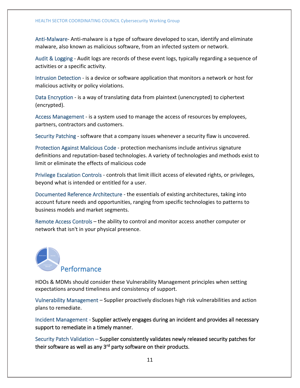<span id="page-11-0"></span>Anti-Malware- Anti-malware is a type of software developed to scan, identify and eliminate malware, also known as malicious software, from an infected system or network.

<span id="page-11-1"></span>Audit & Logging - Audit logs are records of these event logs, typically regarding a sequence of activities or a specific activity.

<span id="page-11-2"></span>Intrusion Detection - is a device or software application that monitors a network or host for malicious activity or policy violations.

<span id="page-11-3"></span>Data Encryption - is a way of translating data from plaintext (unencrypted) to ciphertext (encrypted).

<span id="page-11-4"></span>Access Management - is a system used to manage the access of resources by employees, partners, contractors and customers.

<span id="page-11-5"></span>Security Patching - software that a company issues whenever a security flaw is uncovered.

<span id="page-11-6"></span>Protection Against Malicious Code - protection mechanisms include antivirus signature definitions and reputation-based technologies. A variety of technologies and methods exist to limit or eliminate the effects of malicious code

<span id="page-11-7"></span>Privilege Escalation Controls - controls that limit illicit access of elevated rights, or privileges, beyond what is intended or entitled for a user.

<span id="page-11-8"></span>Documented Reference Architecture - the essentials of existing architectures, taking into account future needs and opportunities, ranging from specific technologies to patterns to business models and market segments.

<span id="page-11-9"></span>Remote Access Controls – the ability to control and monitor access another computer or network that isn't in your physical presence.

# Performance

HDOs & MDMs should consider these Vulnerability Management principles when setting expectations around timeliness and consistency of support.

<span id="page-11-10"></span>Vulnerability Management – Supplier proactively discloses high risk vulnerabilities and action plans to remediate.

<span id="page-11-11"></span>Incident Management - Supplier actively engages during an incident and provides all necessary support to remediate in a timely manner.

<span id="page-11-12"></span>Security Patch Validation – Supplier consistently validates newly released security patches for their software as well as any 3<sup>rd</sup> party software on their products.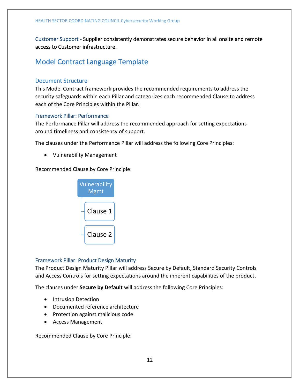<span id="page-12-0"></span>Customer Support - Supplier consistently demonstrates secure behavior in all onsite and remote access to Customer infrastructure.

# <span id="page-12-2"></span><span id="page-12-1"></span>Model Contract Language Template

## Document Structure

This Model Contract framework provides the recommended requirements to address the security safeguards within each Pillar and categorizes each recommended Clause to address each of the Core Principles within the Pillar.

## <span id="page-12-3"></span>Framework Pillar: Performance

The Performance Pillar will address the recommended approach for setting expectations around timeliness and consistency of support.

The clauses under the Performance Pillar will address the following Core Principles:

• Vulnerability Management

Recommended Clause by Core Principle:



## <span id="page-12-4"></span>Framework Pillar: Product Design Maturity

The Product Design Maturity Pillar will address Secure by Default, Standard Security Controls and Access Controls for setting expectations around the inherent capabilities of the product.

The clauses under **Secure by Default** will address the following Core Principles:

- Intrusion Detection
- Documented reference architecture
- Protection against malicious code
- Access Management

Recommended Clause by Core Principle: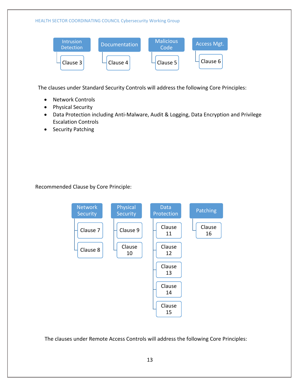#### HEALTH SECTOR COORDINATING COUNCIL Cybersecurity Working Group **Intrusion Detection** Clause 3 **Documentation** Clause 4 **Malicious** Code Clause 5 Access Mgt. Clause 6

The clauses under Standard Security Controls will address the following Core Principles:

- Network Controls
- Physical Security
- Data Protection including Anti-Malware, Audit & Logging, Data Encryption and Privilege Escalation Controls
- Security Patching

Recommended Clause by Core Principle:



The clauses under Remote Access Controls will address the following Core Principles: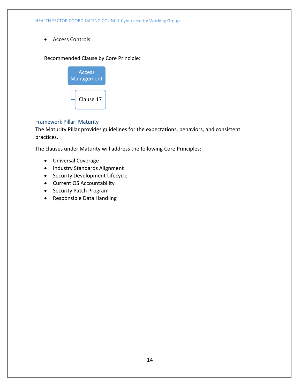• Access Controls

Recommended Clause by Core Principle:



# <span id="page-14-0"></span>Framework Pillar: Maturity

The Maturity Pillar provides guidelines for the expectations, behaviors, and consistent practices.

The clauses under Maturity will address the following Core Principles:

- Universal Coverage
- Industry Standards Alignment
- Security Development Lifecycle
- Current OS Accountability
- Security Patch Program
- Responsible Data Handling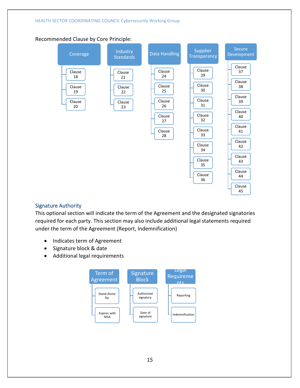# Recommended Clause by Core Principle:



## <span id="page-15-0"></span>Signature Authority

This optional section will indicate the term of the Agreement and the designated signatories required for each party. This section may also include additional legal statements required under the term of the Agreement (Report, Indemnification)

- Indicates term of Agreement
- Signature block & date
- Additional legal requirements

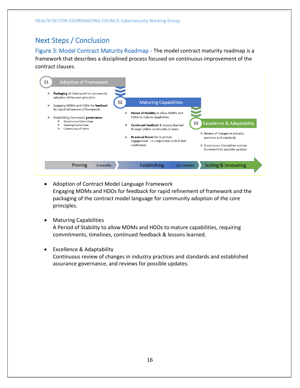# <span id="page-16-0"></span>Next Steps / Conclusion

<span id="page-16-1"></span>Figure 3: Model Contract Maturity Roadmap - The model contract maturity roadmap is a framework that describes a disciplined process focused on continuous improvement of the contract clauses.



- Adoption of Contract Model Language Framework Engaging MDMs and HDOs for feedback for rapid refinement of framework and the packaging of the contract model language for community adoption of the core principles.
- Maturing Capabilities A Period of Stability to allow MDMs and HDOs to mature capabilities, requiring commitments, timelines, continued feedback & lessons learned.
- Excellence & Adaptability Continuous review of changes in industry practices and standards and established assurance governance, and reviews for possible updates.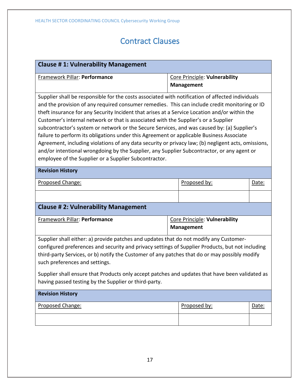# Contract Clauses

<span id="page-17-0"></span>

| <b>Clause #1: Vulnerability Management</b>                                                                                                                                                                                                                                                                                                                                                                                                                                                                                                                                                                                                                                                                                                                                                                                                         |  |                                                    |       |
|----------------------------------------------------------------------------------------------------------------------------------------------------------------------------------------------------------------------------------------------------------------------------------------------------------------------------------------------------------------------------------------------------------------------------------------------------------------------------------------------------------------------------------------------------------------------------------------------------------------------------------------------------------------------------------------------------------------------------------------------------------------------------------------------------------------------------------------------------|--|----------------------------------------------------|-------|
| Framework Pillar: Performance                                                                                                                                                                                                                                                                                                                                                                                                                                                                                                                                                                                                                                                                                                                                                                                                                      |  | Core Principle: Vulnerability<br><b>Management</b> |       |
| Supplier shall be responsible for the costs associated with notification of affected individuals<br>and the provision of any required consumer remedies. This can include credit monitoring or ID<br>theft insurance for any Security Incident that arises at a Service Location and/or within the<br>Customer's internal network or that is associated with the Supplier's or a Supplier<br>subcontractor's system or network or the Secure Services, and was caused by: (a) Supplier's<br>failure to perform its obligations under this Agreement or applicable Business Associate<br>Agreement, including violations of any data security or privacy law; (b) negligent acts, omissions,<br>and/or intentional wrongdoing by the Supplier, any Supplier Subcontractor, or any agent or<br>employee of the Supplier or a Supplier Subcontractor. |  |                                                    |       |
| <b>Revision History</b>                                                                                                                                                                                                                                                                                                                                                                                                                                                                                                                                                                                                                                                                                                                                                                                                                            |  |                                                    |       |
| Proposed Change:                                                                                                                                                                                                                                                                                                                                                                                                                                                                                                                                                                                                                                                                                                                                                                                                                                   |  | Proposed by:                                       | Date: |
|                                                                                                                                                                                                                                                                                                                                                                                                                                                                                                                                                                                                                                                                                                                                                                                                                                                    |  |                                                    |       |
| <b>Clause #2: Vulnerability Management</b>                                                                                                                                                                                                                                                                                                                                                                                                                                                                                                                                                                                                                                                                                                                                                                                                         |  |                                                    |       |
| Framework Pillar: Performance                                                                                                                                                                                                                                                                                                                                                                                                                                                                                                                                                                                                                                                                                                                                                                                                                      |  | Core Principle: Vulnerability<br><b>Management</b> |       |
| Supplier shall either: a) provide patches and updates that do not modify any Customer-<br>configured preferences and security and privacy settings of Supplier Products, but not including<br>third-party Services, or b) notify the Customer of any patches that do or may possibly modify<br>such preferences and settings.<br>Supplier shall ensure that Products only accept patches and updates that have been validated as<br>having passed testing by the Supplier or third-party.                                                                                                                                                                                                                                                                                                                                                          |  |                                                    |       |
| <b>Revision History</b>                                                                                                                                                                                                                                                                                                                                                                                                                                                                                                                                                                                                                                                                                                                                                                                                                            |  |                                                    |       |
| Proposed Change:                                                                                                                                                                                                                                                                                                                                                                                                                                                                                                                                                                                                                                                                                                                                                                                                                                   |  | Proposed by:                                       | Date: |
|                                                                                                                                                                                                                                                                                                                                                                                                                                                                                                                                                                                                                                                                                                                                                                                                                                                    |  |                                                    |       |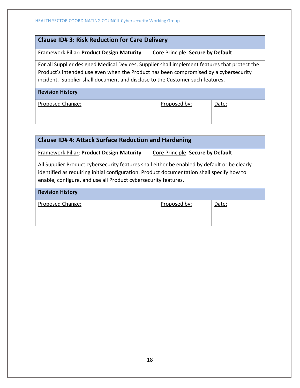| <b>Clause ID# 3: Risk Reduction for Care Delivery</b>                                                                                                                                                                                                                  |                                   |  |  |  |
|------------------------------------------------------------------------------------------------------------------------------------------------------------------------------------------------------------------------------------------------------------------------|-----------------------------------|--|--|--|
| <b>Framework Pillar: Product Design Maturity</b>                                                                                                                                                                                                                       | Core Principle: Secure by Default |  |  |  |
| For all Supplier designed Medical Devices, Supplier shall implement features that protect the<br>Product's intended use even when the Product has been compromised by a cybersecurity<br>incident. Supplier shall document and disclose to the Customer such features. |                                   |  |  |  |
| <b>Revision History</b>                                                                                                                                                                                                                                                |                                   |  |  |  |
| Proposed Change:<br>Proposed by:<br>Date:                                                                                                                                                                                                                              |                                   |  |  |  |
|                                                                                                                                                                                                                                                                        |                                   |  |  |  |

| <b>Clause ID# 4: Attack Surface Reduction and Hardening</b>                                                                                                                                                                                                 |                                   |  |  |
|-------------------------------------------------------------------------------------------------------------------------------------------------------------------------------------------------------------------------------------------------------------|-----------------------------------|--|--|
| <b>Framework Pillar: Product Design Maturity</b>                                                                                                                                                                                                            | Core Principle: Secure by Default |  |  |
| All Supplier Product cybersecurity features shall either be enabled by default or be clearly<br>identified as requiring initial configuration. Product documentation shall specify how to<br>enable, configure, and use all Product cybersecurity features. |                                   |  |  |
| <b>Revision History</b>                                                                                                                                                                                                                                     |                                   |  |  |
| Proposed Change:<br>Proposed by:<br>Date:                                                                                                                                                                                                                   |                                   |  |  |
|                                                                                                                                                                                                                                                             |                                   |  |  |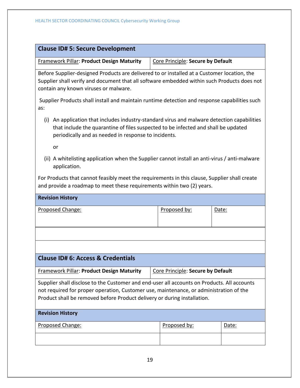| <b>Clause ID# 5: Secure Development</b>                                                                                                                                                                                                                           |                                                                                                                                                                                                                                       |       |  |  |
|-------------------------------------------------------------------------------------------------------------------------------------------------------------------------------------------------------------------------------------------------------------------|---------------------------------------------------------------------------------------------------------------------------------------------------------------------------------------------------------------------------------------|-------|--|--|
| <b>Framework Pillar: Product Design Maturity</b>                                                                                                                                                                                                                  | Core Principle: Secure by Default                                                                                                                                                                                                     |       |  |  |
| Before Supplier-designed Products are delivered to or installed at a Customer location, the<br>Supplier shall verify and document that all software embedded within such Products does not<br>contain any known viruses or malware.                               |                                                                                                                                                                                                                                       |       |  |  |
| Supplier Products shall install and maintain runtime detection and response capabilities such<br>as:                                                                                                                                                              |                                                                                                                                                                                                                                       |       |  |  |
| (i)                                                                                                                                                                                                                                                               | An application that includes industry-standard virus and malware detection capabilities<br>that include the quarantine of files suspected to be infected and shall be updated<br>periodically and as needed in response to incidents. |       |  |  |
| or                                                                                                                                                                                                                                                                |                                                                                                                                                                                                                                       |       |  |  |
| (ii) A whitelisting application when the Supplier cannot install an anti-virus / anti-malware<br>application.                                                                                                                                                     |                                                                                                                                                                                                                                       |       |  |  |
| For Products that cannot feasibly meet the requirements in this clause, Supplier shall create<br>and provide a roadmap to meet these requirements within two (2) years.                                                                                           |                                                                                                                                                                                                                                       |       |  |  |
| <b>Revision History</b>                                                                                                                                                                                                                                           |                                                                                                                                                                                                                                       |       |  |  |
| Proposed Change:                                                                                                                                                                                                                                                  | Proposed by:                                                                                                                                                                                                                          | Date: |  |  |
|                                                                                                                                                                                                                                                                   |                                                                                                                                                                                                                                       |       |  |  |
|                                                                                                                                                                                                                                                                   |                                                                                                                                                                                                                                       |       |  |  |
|                                                                                                                                                                                                                                                                   |                                                                                                                                                                                                                                       |       |  |  |
| <b>Clause ID# 6: Access &amp; Credentials</b>                                                                                                                                                                                                                     |                                                                                                                                                                                                                                       |       |  |  |
| Framework Pillar: Product Design Maturity                                                                                                                                                                                                                         | Core Principle: Secure by Default                                                                                                                                                                                                     |       |  |  |
| Supplier shall disclose to the Customer and end-user all accounts on Products. All accounts<br>not required for proper operation, Customer use, maintenance, or administration of the<br>Product shall be removed before Product delivery or during installation. |                                                                                                                                                                                                                                       |       |  |  |
| <b>Revision History</b>                                                                                                                                                                                                                                           |                                                                                                                                                                                                                                       |       |  |  |
| Proposed Change:                                                                                                                                                                                                                                                  | Proposed by:                                                                                                                                                                                                                          | Date: |  |  |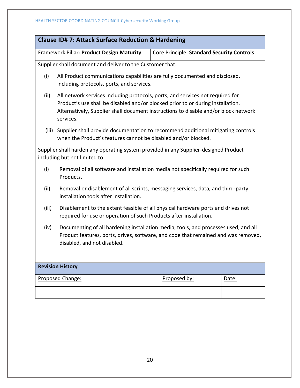|                                                                                                                                                                                                                                                                               | Framework Pillar: Product Design Maturity                                                                                  | Core Principle: Standard Security Controls |  |
|-------------------------------------------------------------------------------------------------------------------------------------------------------------------------------------------------------------------------------------------------------------------------------|----------------------------------------------------------------------------------------------------------------------------|--------------------------------------------|--|
|                                                                                                                                                                                                                                                                               | Supplier shall document and deliver to the Customer that:                                                                  |                                            |  |
| (i)                                                                                                                                                                                                                                                                           | All Product communications capabilities are fully documented and disclosed,<br>including protocols, ports, and services.   |                                            |  |
| (ii)<br>All network services including protocols, ports, and services not required for<br>Product's use shall be disabled and/or blocked prior to or during installation.<br>Alternatively, Supplier shall document instructions to disable and/or block network<br>services. |                                                                                                                            |                                            |  |
| Supplier shall provide documentation to recommend additional mitigating controls<br>(iii)<br>when the Product's features cannot be disabled and/or blocked.                                                                                                                   |                                                                                                                            |                                            |  |
|                                                                                                                                                                                                                                                                               | Supplier shall harden any operating system provided in any Supplier-designed Product<br>including but not limited to:      |                                            |  |
| (i)                                                                                                                                                                                                                                                                           | Removal of all software and installation media not specifically required for such<br>Products.                             |                                            |  |
| (ii)                                                                                                                                                                                                                                                                          | Removal or disablement of all scripts, messaging services, data, and third-party<br>installation tools after installation. |                                            |  |
| (iii)<br>Disablement to the extent feasible of all physical hardware ports and drives not<br>required for use or operation of such Products after installation.                                                                                                               |                                                                                                                            |                                            |  |
| Documenting of all hardening installation media, tools, and processes used, and all<br>(iv)<br>Product features, ports, drives, software, and code that remained and was removed,<br>disabled, and not disabled.                                                              |                                                                                                                            |                                            |  |
|                                                                                                                                                                                                                                                                               | <b>Revision History</b>                                                                                                    |                                            |  |
|                                                                                                                                                                                                                                                                               |                                                                                                                            |                                            |  |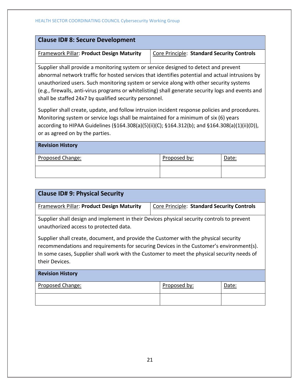| <b>Clause ID# 8: Secure Development</b>                                                                                                                                                                                                                                                                                                                                                                                                            |                                            |  |
|----------------------------------------------------------------------------------------------------------------------------------------------------------------------------------------------------------------------------------------------------------------------------------------------------------------------------------------------------------------------------------------------------------------------------------------------------|--------------------------------------------|--|
| <b>Framework Pillar: Product Design Maturity</b>                                                                                                                                                                                                                                                                                                                                                                                                   | Core Principle: Standard Security Controls |  |
| Supplier shall provide a monitoring system or service designed to detect and prevent<br>abnormal network traffic for hosted services that identifies potential and actual intrusions by<br>unauthorized users. Such monitoring system or service along with other security systems<br>(e.g., firewalls, anti-virus programs or whitelisting) shall generate security logs and events and<br>shall be staffed 24x7 by qualified security personnel. |                                            |  |
| Supplier shall create, update, and follow intrusion incident response policies and procedures.<br>Monitoring system or service logs shall be maintained for a minimum of six (6) years<br>$111011$ $1.11011$ $1.11011$ $1.1011$ $1.1011$ $1.1011$ $1.1011$ $1.1111$ $1.1011$ $1.1011$ $1.1111$ $1.1111$ $1.1111$ $1.1111$                                                                                                                          |                                            |  |

according to HIPAA Guidelines (§164.308(a)(5)(ii)(C); §164.312(b); and §164.308(a)(1)(ii)(D)), or as agreed on by the parties.

| <b>Revision History</b> |              |       |
|-------------------------|--------------|-------|
| Proposed Change:        | Proposed by: | Date: |
|                         |              |       |

| <b>Clause ID# 9: Physical Security</b>                                                                                                                                                                                                                                                           |                                            |       |  |
|--------------------------------------------------------------------------------------------------------------------------------------------------------------------------------------------------------------------------------------------------------------------------------------------------|--------------------------------------------|-------|--|
| <b>Framework Pillar: Product Design Maturity</b>                                                                                                                                                                                                                                                 | Core Principle: Standard Security Controls |       |  |
| Supplier shall design and implement in their Devices physical security controls to prevent<br>unauthorized access to protected data.                                                                                                                                                             |                                            |       |  |
| Supplier shall create, document, and provide the Customer with the physical security<br>recommendations and requirements for securing Devices in the Customer's environment(s).<br>In some cases, Supplier shall work with the Customer to meet the physical security needs of<br>their Devices. |                                            |       |  |
| <b>Revision History</b>                                                                                                                                                                                                                                                                          |                                            |       |  |
| Proposed Change:                                                                                                                                                                                                                                                                                 | Proposed by:                               | Date: |  |
|                                                                                                                                                                                                                                                                                                  |                                            |       |  |

21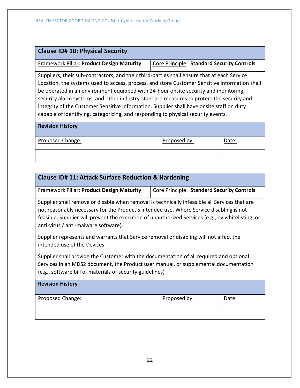| <b>Clause ID# 10: Physical Security</b>                                                                                                                                                                                                                                                                                                                                                                                                                                                                                                                           |                                            |       |  |
|-------------------------------------------------------------------------------------------------------------------------------------------------------------------------------------------------------------------------------------------------------------------------------------------------------------------------------------------------------------------------------------------------------------------------------------------------------------------------------------------------------------------------------------------------------------------|--------------------------------------------|-------|--|
| <b>Framework Pillar: Product Design Maturity</b>                                                                                                                                                                                                                                                                                                                                                                                                                                                                                                                  | Core Principle: Standard Security Controls |       |  |
| Suppliers, their sub-contractors, and their third-parties shall ensure that at each Service<br>Location, the systems used to access, process, and store Customer Sensitive Information shall<br>be operated in an environment equipped with 24-hour onsite security and monitoring,<br>security alarm systems, and other industry-standard measures to protect the security and<br>integrity of the Customer Sensitive Information. Supplier shall have onsite staff on duty<br>capable of identifying, categorizing, and responding to physical security events. |                                            |       |  |
| <b>Revision History</b>                                                                                                                                                                                                                                                                                                                                                                                                                                                                                                                                           |                                            |       |  |
| Proposed Change:                                                                                                                                                                                                                                                                                                                                                                                                                                                                                                                                                  | Proposed by:                               | Date: |  |
|                                                                                                                                                                                                                                                                                                                                                                                                                                                                                                                                                                   |                                            |       |  |

| <b>Clause ID# 11: Attack Surface Reduction &amp; Hardening</b>                                                                                                                                                                                                                                                                        |                                            |       |  |
|---------------------------------------------------------------------------------------------------------------------------------------------------------------------------------------------------------------------------------------------------------------------------------------------------------------------------------------|--------------------------------------------|-------|--|
| <b>Framework Pillar: Product Design Maturity</b>                                                                                                                                                                                                                                                                                      | Core Principle: Standard Security Controls |       |  |
| Supplier shall remove or disable when removal is technically infeasible all Services that are<br>not reasonably necessary for the Product's intended use. Where Service disabling is not<br>feasible, Supplier will prevent the execution of unauthorized Services (e.g., by whitelisting, or<br>anti-virus / anti-malware software). |                                            |       |  |
| Supplier represents and warrants that Service removal or disabling will not affect the<br>intended use of the Devices.                                                                                                                                                                                                                |                                            |       |  |
| Supplier shall provide the Customer with the documentation of all required and optional<br>Services in an MDS2 document, the Product user manual, or supplemental documentation<br>(e.g., software bill of materials or security guidelines)                                                                                          |                                            |       |  |
| <b>Revision History</b>                                                                                                                                                                                                                                                                                                               |                                            |       |  |
| <b>Proposed Change:</b>                                                                                                                                                                                                                                                                                                               | Proposed by:                               | Date: |  |
|                                                                                                                                                                                                                                                                                                                                       |                                            |       |  |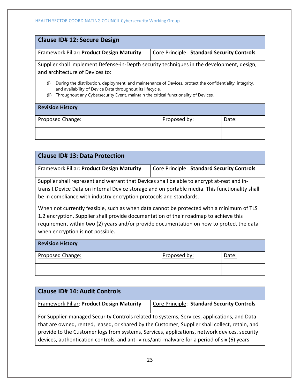| <b>Clause ID# 12: Secure Design</b>                                                                                                                                                                                                                                         |  |  |  |  |
|-----------------------------------------------------------------------------------------------------------------------------------------------------------------------------------------------------------------------------------------------------------------------------|--|--|--|--|
| Framework Pillar: Product Design Maturity<br>Core Principle: Standard Security Controls                                                                                                                                                                                     |  |  |  |  |
| Supplier shall implement Defense-in-Depth security techniques in the development, design,<br>and architecture of Devices to:                                                                                                                                                |  |  |  |  |
| During the distribution, deployment, and maintenance of Devices, protect the confidentiality, integrity,<br>(i)<br>and availability of Device Data throughout its lifecycle.<br>Throughout any Cybersecurity Event, maintain the critical functionality of Devices.<br>(ii) |  |  |  |  |
| <b>Revision History</b>                                                                                                                                                                                                                                                     |  |  |  |  |
| Proposed Change:<br>Proposed by:<br>Date:                                                                                                                                                                                                                                   |  |  |  |  |
|                                                                                                                                                                                                                                                                             |  |  |  |  |

| <b>Clause ID# 13: Data Protection</b>                                                                                                                                                                                                                                                                                                                                                                                                                                                                                                                                                   |                                            |       |  |
|-----------------------------------------------------------------------------------------------------------------------------------------------------------------------------------------------------------------------------------------------------------------------------------------------------------------------------------------------------------------------------------------------------------------------------------------------------------------------------------------------------------------------------------------------------------------------------------------|--------------------------------------------|-------|--|
| <b>Framework Pillar: Product Design Maturity</b>                                                                                                                                                                                                                                                                                                                                                                                                                                                                                                                                        | Core Principle: Standard Security Controls |       |  |
| Supplier shall represent and warrant that Devices shall be able to encrypt at-rest and in-<br>transit Device Data on internal Device storage and on portable media. This functionality shall<br>be in compliance with industry encryption protocols and standards.<br>When not currently feasible, such as when data cannot be protected with a minimum of TLS<br>1.2 encryption, Supplier shall provide documentation of their roadmap to achieve this<br>requirement within two (2) years and/or provide documentation on how to protect the data<br>when encryption is not possible. |                                            |       |  |
| <b>Revision History</b>                                                                                                                                                                                                                                                                                                                                                                                                                                                                                                                                                                 |                                            |       |  |
| Proposed Change:                                                                                                                                                                                                                                                                                                                                                                                                                                                                                                                                                                        | Proposed by:                               | Date: |  |
|                                                                                                                                                                                                                                                                                                                                                                                                                                                                                                                                                                                         |                                            |       |  |

| <b>Clause ID# 14: Audit Controls</b>                                                                                                                                                                                                                                                                                                                                                         |                                            |
|----------------------------------------------------------------------------------------------------------------------------------------------------------------------------------------------------------------------------------------------------------------------------------------------------------------------------------------------------------------------------------------------|--------------------------------------------|
| <b>Framework Pillar: Product Design Maturity</b>                                                                                                                                                                                                                                                                                                                                             | Core Principle: Standard Security Controls |
| For Supplier-managed Security Controls related to systems, Services, applications, and Data<br>that are owned, rented, leased, or shared by the Customer, Supplier shall collect, retain, and<br>provide to the Customer logs from systems, Services, applications, network devices, security<br>devices, authentication controls, and anti-virus/anti-malware for a period of six (6) years |                                            |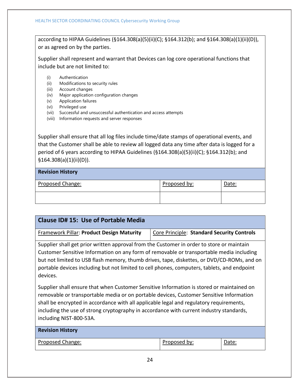according to HIPAA Guidelines (§164.308(a)(5)(ii)(C); §164.312(b); and §164.308(a)(1)(ii)(D)), or as agreed on by the parties.

Supplier shall represent and warrant that Devices can log core operational functions that include but are not limited to:

- (i) Authentication
- (ii) Modifications to security rules
- (iii) Account changes
- (iv) Major application configuration changes
- (v) Application failures
- (vi) Privileged use
- (vii) Successful and unsuccessful authentication and access attempts
- (viii) Information requests and server responses

Supplier shall ensure that all log files include time/date stamps of operational events, and that the Customer shall be able to review all logged data any time after data is logged for a period of 6 years according to HIPAA Guidelines (§164.308(a)(5)(ii)(C); §164.312(b); and §164.308(a)(1)(ii)(D)).

## **Revision History**

| Proposed Change: | Proposed by: | Date: |
|------------------|--------------|-------|
|                  |              |       |

| Clause ID# 15: Use of Portable Media                                                                                                                                                                                                                                                                                                                                                                  |                                            |       |  |
|-------------------------------------------------------------------------------------------------------------------------------------------------------------------------------------------------------------------------------------------------------------------------------------------------------------------------------------------------------------------------------------------------------|--------------------------------------------|-------|--|
| <b>Framework Pillar: Product Design Maturity</b>                                                                                                                                                                                                                                                                                                                                                      | Core Principle: Standard Security Controls |       |  |
| Supplier shall get prior written approval from the Customer in order to store or maintain<br>Customer Sensitive Information on any form of removable or transportable media including<br>but not limited to USB flash memory, thumb drives, tape, diskettes, or DVD/CD-ROMs, and on<br>portable devices including but not limited to cell phones, computers, tablets, and endpoint<br>devices.        |                                            |       |  |
| Supplier shall ensure that when Customer Sensitive Information is stored or maintained on<br>removable or transportable media or on portable devices, Customer Sensitive Information<br>shall be encrypted in accordance with all applicable legal and regulatory requirements,<br>including the use of strong cryptography in accordance with current industry standards,<br>including NIST-800-53A. |                                            |       |  |
| <b>Revision History</b>                                                                                                                                                                                                                                                                                                                                                                               |                                            |       |  |
| Proposed Change:                                                                                                                                                                                                                                                                                                                                                                                      | Proposed by:                               | Date: |  |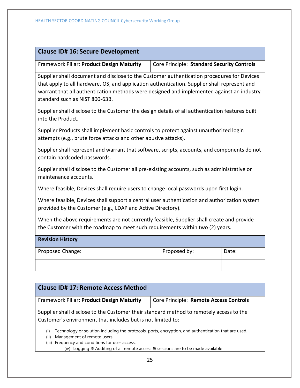| <b>Clause ID# 16: Secure Development</b>                                                                                                                                                                                                                                                                                  |                                            |  |       |
|---------------------------------------------------------------------------------------------------------------------------------------------------------------------------------------------------------------------------------------------------------------------------------------------------------------------------|--------------------------------------------|--|-------|
| Framework Pillar: Product Design Maturity                                                                                                                                                                                                                                                                                 | Core Principle: Standard Security Controls |  |       |
| Supplier shall document and disclose to the Customer authentication procedures for Devices<br>that apply to all hardware, OS, and application authentication. Supplier shall represent and<br>warrant that all authentication methods were designed and implemented against an industry<br>standard such as NIST 800-63B. |                                            |  |       |
| Supplier shall disclose to the Customer the design details of all authentication features built<br>into the Product.                                                                                                                                                                                                      |                                            |  |       |
| Supplier Products shall implement basic controls to protect against unauthorized login<br>attempts (e.g., brute force attacks and other abusive attacks).                                                                                                                                                                 |                                            |  |       |
| Supplier shall represent and warrant that software, scripts, accounts, and components do not<br>contain hardcoded passwords.                                                                                                                                                                                              |                                            |  |       |
| Supplier shall disclose to the Customer all pre-existing accounts, such as administrative or<br>maintenance accounts.                                                                                                                                                                                                     |                                            |  |       |
| Where feasible, Devices shall require users to change local passwords upon first login.                                                                                                                                                                                                                                   |                                            |  |       |
| Where feasible, Devices shall support a central user authentication and authorization system<br>provided by the Customer (e.g., LDAP and Active Directory).                                                                                                                                                               |                                            |  |       |
| When the above requirements are not currently feasible, Supplier shall create and provide<br>the Customer with the roadmap to meet such requirements within two (2) years.                                                                                                                                                |                                            |  |       |
| <b>Revision History</b>                                                                                                                                                                                                                                                                                                   |                                            |  |       |
| Proposed Change:                                                                                                                                                                                                                                                                                                          | Proposed by:                               |  | Date: |
|                                                                                                                                                                                                                                                                                                                           |                                            |  |       |

| <b>Clause ID# 17: Remote Access Method</b>                                                                                                                                                                                                                                                   |                                        |  |  |
|----------------------------------------------------------------------------------------------------------------------------------------------------------------------------------------------------------------------------------------------------------------------------------------------|----------------------------------------|--|--|
| Framework Pillar: Product Design Maturity                                                                                                                                                                                                                                                    | Core Principle: Remote Access Controls |  |  |
| Supplier shall disclose to the Customer their standard method to remotely access to the<br>Customer's environment that includes but is not limited to:                                                                                                                                       |                                        |  |  |
| Technology or solution including the protocols, ports, encryption, and authentication that are used.<br>(i)<br>Management of remote users.<br>(ii)<br>Frequency and conditions for user access.<br>(iii)<br>(iv) Logging & Auditing of all remote access & sessions are to be made available |                                        |  |  |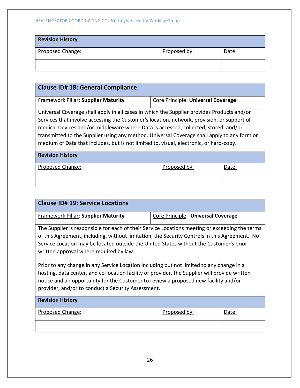# HEALTH SECTOR COORDINATING COUNCIL Cybersecurity Working Group

| <b>Revision History</b> |              |       |
|-------------------------|--------------|-------|
| Proposed Change:        | Proposed by: | Date: |
|                         |              |       |

| <b>Clause ID# 18: General Compliance</b>                                                                                                                                                                                                                                                                                                                                                                                                                                 |                                    |  |  |  |
|--------------------------------------------------------------------------------------------------------------------------------------------------------------------------------------------------------------------------------------------------------------------------------------------------------------------------------------------------------------------------------------------------------------------------------------------------------------------------|------------------------------------|--|--|--|
| <b>Framework Pillar: Supplier Maturity</b>                                                                                                                                                                                                                                                                                                                                                                                                                               | Core Principle: Universal Coverage |  |  |  |
| Universal Coverage shall apply in all cases in which the Supplier provides Products and/or<br>Services that involve accessing the Customer's location, network, provision, or support of<br>medical Devices and/or middleware where Data is accessed, collected, stored, and/or<br>transmitted to the Supplier using any method. Universal Coverage shall apply to any form or<br>medium of Data that includes, but is not limited to, visual, electronic, or hard-copy. |                                    |  |  |  |
| <b>Revision History</b>                                                                                                                                                                                                                                                                                                                                                                                                                                                  |                                    |  |  |  |
| Proposed Change:<br>Proposed by:<br>Date:                                                                                                                                                                                                                                                                                                                                                                                                                                |                                    |  |  |  |
|                                                                                                                                                                                                                                                                                                                                                                                                                                                                          |                                    |  |  |  |

| <b>Clause ID# 19: Service Locations</b>                                                                                                                                                                                                                                                                                                |                                    |       |  |
|----------------------------------------------------------------------------------------------------------------------------------------------------------------------------------------------------------------------------------------------------------------------------------------------------------------------------------------|------------------------------------|-------|--|
| <b>Framework Pillar: Supplier Maturity</b>                                                                                                                                                                                                                                                                                             | Core Principle: Universal Coverage |       |  |
| The Supplier is responsible for each of their Service Locations meeting or exceeding the terms<br>of this Agreement, including, without limitation, the Security Controls in this Agreement. No<br>Service Location may be located outside the United States without the Customer's prior<br>written approval where required by law.   |                                    |       |  |
| Prior to any change in any Service Location including but not limited to any change in a<br>hosting, data center, and co-location facility or provider, the Supplier will provide written<br>notice and an opportunity for the Customer to review a proposed new facility and/or<br>provider, and/or to conduct a Security Assessment. |                                    |       |  |
| <b>Revision History</b>                                                                                                                                                                                                                                                                                                                |                                    |       |  |
| Proposed Change:                                                                                                                                                                                                                                                                                                                       | Proposed by:                       | Date: |  |
|                                                                                                                                                                                                                                                                                                                                        |                                    |       |  |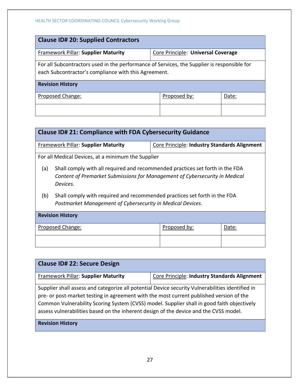| <b>Clause ID# 20: Supplied Contractors</b>                                                                                                          |                                    |  |  |  |
|-----------------------------------------------------------------------------------------------------------------------------------------------------|------------------------------------|--|--|--|
| Framework Pillar: Supplier Maturity                                                                                                                 | Core Principle: Universal Coverage |  |  |  |
| For all Subcontractors used in the performance of Services, the Supplier is responsible for<br>each Subcontractor's compliance with this Agreement. |                                    |  |  |  |
| <b>Revision History</b>                                                                                                                             |                                    |  |  |  |
| Proposed Change:<br>Proposed by:<br>Date:                                                                                                           |                                    |  |  |  |
|                                                                                                                                                     |                                    |  |  |  |

| <b>Clause ID# 21: Compliance with FDA Cybersecurity Guidance</b> |                                                                                                                                                                          |  |  |  |  |
|------------------------------------------------------------------|--------------------------------------------------------------------------------------------------------------------------------------------------------------------------|--|--|--|--|
|                                                                  | <b>Framework Pillar: Supplier Maturity</b><br><b>Core Principle: Industry Standards Alignment</b>                                                                        |  |  |  |  |
|                                                                  | For all Medical Devices, at a minimum the Supplier                                                                                                                       |  |  |  |  |
| (a)                                                              | Shall comply with all required and recommended practices set forth in the FDA<br>Content of Premarket Submissions for Management of Cybersecurity in Medical<br>Devices. |  |  |  |  |
| (b)                                                              | Shall comply with required and recommended practices set forth in the FDA<br>Postmarket Management of Cybersecurity in Medical Devices.                                  |  |  |  |  |
| <b>Revision History</b>                                          |                                                                                                                                                                          |  |  |  |  |
| Proposed by:<br>Proposed Change:<br>Date:                        |                                                                                                                                                                          |  |  |  |  |
|                                                                  |                                                                                                                                                                          |  |  |  |  |

| <b>Clause ID# 22: Secure Design</b>                                                                                                                                                                                                                                                                                                                                                |                                              |  |
|------------------------------------------------------------------------------------------------------------------------------------------------------------------------------------------------------------------------------------------------------------------------------------------------------------------------------------------------------------------------------------|----------------------------------------------|--|
| <b>Framework Pillar: Supplier Maturity</b>                                                                                                                                                                                                                                                                                                                                         | Core Principle: Industry Standards Alignment |  |
| Supplier shall assess and categorize all potential Device security Vulnerabilities identified in<br>pre- or post-market testing in agreement with the most current published version of the<br>Common Vulnerability Scoring System (CVSS) model. Supplier shall in good faith objectively<br>assess vulnerabilities based on the inherent design of the device and the CVSS model. |                                              |  |
| <b>Revision History</b>                                                                                                                                                                                                                                                                                                                                                            |                                              |  |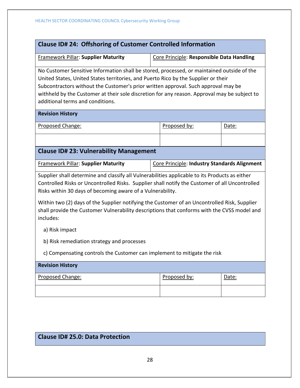| Clause ID# 24: Offshoring of Customer Controlled Information                                                                                                                                                                                                                                                                                                                                               |                                              |              |       |
|------------------------------------------------------------------------------------------------------------------------------------------------------------------------------------------------------------------------------------------------------------------------------------------------------------------------------------------------------------------------------------------------------------|----------------------------------------------|--------------|-------|
| <b>Framework Pillar: Supplier Maturity</b>                                                                                                                                                                                                                                                                                                                                                                 | Core Principle: Responsible Data Handling    |              |       |
| No Customer Sensitive Information shall be stored, processed, or maintained outside of the<br>United States, United States territories, and Puerto Rico by the Supplier or their<br>Subcontractors without the Customer's prior written approval. Such approval may be<br>withheld by the Customer at their sole discretion for any reason. Approval may be subject to<br>additional terms and conditions. |                                              |              |       |
| <b>Revision History</b>                                                                                                                                                                                                                                                                                                                                                                                    |                                              |              |       |
| Proposed Change:                                                                                                                                                                                                                                                                                                                                                                                           |                                              | Proposed by: | Date: |
|                                                                                                                                                                                                                                                                                                                                                                                                            |                                              |              |       |
| <b>Clause ID# 23: Vulnerability Management</b>                                                                                                                                                                                                                                                                                                                                                             |                                              |              |       |
| <b>Framework Pillar: Supplier Maturity</b>                                                                                                                                                                                                                                                                                                                                                                 | Core Principle: Industry Standards Alignment |              |       |
| Supplier shall determine and classify all Vulnerabilities applicable to its Products as either<br>Controlled Risks or Uncontrolled Risks. Supplier shall notify the Customer of all Uncontrolled<br>Risks within 30 days of becoming aware of a Vulnerability.                                                                                                                                             |                                              |              |       |
| Within two (2) days of the Supplier notifying the Customer of an Uncontrolled Risk, Supplier<br>shall provide the Customer Vulnerability descriptions that conforms with the CVSS model and<br>includes:                                                                                                                                                                                                   |                                              |              |       |
| a) Risk impact                                                                                                                                                                                                                                                                                                                                                                                             |                                              |              |       |
| b) Risk remediation strategy and processes                                                                                                                                                                                                                                                                                                                                                                 |                                              |              |       |
| c) Compensating controls the Customer can implement to mitigate the risk                                                                                                                                                                                                                                                                                                                                   |                                              |              |       |
| <b>Revision History</b>                                                                                                                                                                                                                                                                                                                                                                                    |                                              |              |       |
| Proposed Change:                                                                                                                                                                                                                                                                                                                                                                                           |                                              | Proposed by: | Date: |
|                                                                                                                                                                                                                                                                                                                                                                                                            |                                              |              |       |

# **Clause ID# 25.0: Data Protection**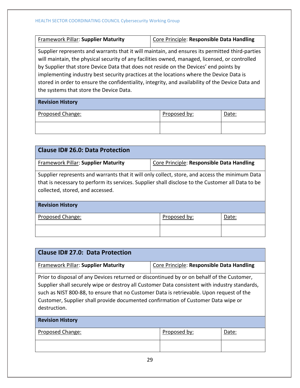| Framework Pillar: Supplier Maturity                                                                                                                                                                                                                                                                                                                                                                                                                                                                                                   | Core Principle: Responsible Data Handling |       |  |
|---------------------------------------------------------------------------------------------------------------------------------------------------------------------------------------------------------------------------------------------------------------------------------------------------------------------------------------------------------------------------------------------------------------------------------------------------------------------------------------------------------------------------------------|-------------------------------------------|-------|--|
| Supplier represents and warrants that it will maintain, and ensures its permitted third-parties<br>will maintain, the physical security of any facilities owned, managed, licensed, or controlled<br>by Supplier that store Device Data that does not reside on the Devices' end points by<br>implementing industry best security practices at the locations where the Device Data is<br>stored in order to ensure the confidentiality, integrity, and availability of the Device Data and<br>the systems that store the Device Data. |                                           |       |  |
| <b>Revision History</b>                                                                                                                                                                                                                                                                                                                                                                                                                                                                                                               |                                           |       |  |
| Proposed Change:                                                                                                                                                                                                                                                                                                                                                                                                                                                                                                                      | Proposed by:                              | Date: |  |
|                                                                                                                                                                                                                                                                                                                                                                                                                                                                                                                                       |                                           |       |  |

| <b>Clause ID# 26.0: Data Protection</b>                                                                                                                                                                                                 |                                           |       |  |
|-----------------------------------------------------------------------------------------------------------------------------------------------------------------------------------------------------------------------------------------|-------------------------------------------|-------|--|
| <b>Framework Pillar: Supplier Maturity</b>                                                                                                                                                                                              | Core Principle: Responsible Data Handling |       |  |
| Supplier represents and warrants that it will only collect, store, and access the minimum Data<br>that is necessary to perform its services. Supplier shall disclose to the Customer all Data to be<br>collected, stored, and accessed. |                                           |       |  |
| <b>Revision History</b>                                                                                                                                                                                                                 |                                           |       |  |
| Proposed Change:                                                                                                                                                                                                                        | Proposed by:                              | Date: |  |
|                                                                                                                                                                                                                                         |                                           |       |  |

| Clause ID# 27.0: Data Protection                                                                                                                                                                                                                                                                                                                                                             |                                           |       |  |
|----------------------------------------------------------------------------------------------------------------------------------------------------------------------------------------------------------------------------------------------------------------------------------------------------------------------------------------------------------------------------------------------|-------------------------------------------|-------|--|
| Framework Pillar: Supplier Maturity                                                                                                                                                                                                                                                                                                                                                          | Core Principle: Responsible Data Handling |       |  |
| Prior to disposal of any Devices returned or discontinued by or on behalf of the Customer,<br>Supplier shall securely wipe or destroy all Customer Data consistent with industry standards,<br>such as NIST 800-88, to ensure that no Customer Data is retrievable. Upon request of the<br>Customer, Supplier shall provide documented confirmation of Customer Data wipe or<br>destruction. |                                           |       |  |
| <b>Revision History</b>                                                                                                                                                                                                                                                                                                                                                                      |                                           |       |  |
| Proposed Change:                                                                                                                                                                                                                                                                                                                                                                             | Proposed by:                              | Date: |  |
|                                                                                                                                                                                                                                                                                                                                                                                              |                                           |       |  |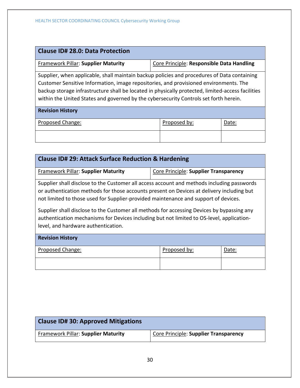| <b>Clause ID# 28.0: Data Protection</b>                                                                                                                                                                                                                                                                                                                                            |                                           |       |  |
|------------------------------------------------------------------------------------------------------------------------------------------------------------------------------------------------------------------------------------------------------------------------------------------------------------------------------------------------------------------------------------|-------------------------------------------|-------|--|
| <b>Framework Pillar: Supplier Maturity</b>                                                                                                                                                                                                                                                                                                                                         | Core Principle: Responsible Data Handling |       |  |
| Supplier, when applicable, shall maintain backup policies and procedures of Data containing<br>Customer Sensitive Information, image repositories, and provisioned environments. The<br>backup storage infrastructure shall be located in physically protected, limited-access facilities<br>within the United States and governed by the cybersecurity Controls set forth herein. |                                           |       |  |
| <b>Revision History</b>                                                                                                                                                                                                                                                                                                                                                            |                                           |       |  |
| Proposed Change:                                                                                                                                                                                                                                                                                                                                                                   | Proposed by:                              | Date: |  |
|                                                                                                                                                                                                                                                                                                                                                                                    |                                           |       |  |

| <b>Clause ID# 29: Attack Surface Reduction &amp; Hardening</b>                                                                                                                                                                                                                                                                                                                                                                                                                                                   |                                       |       |  |
|------------------------------------------------------------------------------------------------------------------------------------------------------------------------------------------------------------------------------------------------------------------------------------------------------------------------------------------------------------------------------------------------------------------------------------------------------------------------------------------------------------------|---------------------------------------|-------|--|
| <b>Framework Pillar: Supplier Maturity</b>                                                                                                                                                                                                                                                                                                                                                                                                                                                                       | Core Principle: Supplier Transparency |       |  |
| Supplier shall disclose to the Customer all access account and methods including passwords<br>or authentication methods for those accounts present on Devices at delivery including but<br>not limited to those used for Supplier-provided maintenance and support of devices.<br>Supplier shall disclose to the Customer all methods for accessing Devices by bypassing any<br>authentication mechanisms for Devices including but not limited to OS-level, application-<br>level, and hardware authentication. |                                       |       |  |
| <b>Revision History</b>                                                                                                                                                                                                                                                                                                                                                                                                                                                                                          |                                       |       |  |
| Proposed Change:                                                                                                                                                                                                                                                                                                                                                                                                                                                                                                 | Proposed by:                          | Date: |  |
|                                                                                                                                                                                                                                                                                                                                                                                                                                                                                                                  |                                       |       |  |

| <b>Clause ID# 30: Approved Mitigations</b> |                                       |
|--------------------------------------------|---------------------------------------|
| <b>Framework Pillar: Supplier Maturity</b> | Core Principle: Supplier Transparency |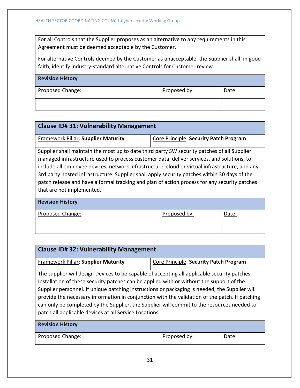For all Controls that the Supplier proposes as an alternative to any requirements in this Agreement must be deemed acceptable by the Customer.

For alternative Controls deemed by the Customer as unacceptable, the Supplier shall, in good faith, identify industry-standard alternative Controls for Customer review.

| <b>Revision History</b> |              |       |
|-------------------------|--------------|-------|
| Proposed Change:        | Proposed by: | Date: |
|                         |              |       |

| <b>Clause ID# 31: Vulnerability Management</b>                                                                                                                                                                                                                                                                                                                                                                                                                                                                          |                                        |       |  |
|-------------------------------------------------------------------------------------------------------------------------------------------------------------------------------------------------------------------------------------------------------------------------------------------------------------------------------------------------------------------------------------------------------------------------------------------------------------------------------------------------------------------------|----------------------------------------|-------|--|
| <b>Framework Pillar: Supplier Maturity</b>                                                                                                                                                                                                                                                                                                                                                                                                                                                                              | Core Principle: Security Patch Program |       |  |
| Supplier shall maintain the most up to date third party SW security patches of all Supplier<br>managed infrastructure used to process customer data, deliver services, and solutions, to<br>include all employee devices, network infrastructure, cloud or virtual infrastructure, and any<br>3rd party hosted infrastructure. Supplier shall apply security patches within 30 days of the<br>patch release and have a formal tracking and plan of action process for any security patches<br>that are not implemented. |                                        |       |  |
| <b>Revision History</b>                                                                                                                                                                                                                                                                                                                                                                                                                                                                                                 |                                        |       |  |
| Proposed Change:                                                                                                                                                                                                                                                                                                                                                                                                                                                                                                        | Proposed by:                           | Date: |  |
|                                                                                                                                                                                                                                                                                                                                                                                                                                                                                                                         |                                        |       |  |

| <b>Clause ID#32: Vulnerability Management</b>                                                                                                                                                                                                                                                                                                                                                                                                                                                                                                       |                                        |       |  |
|-----------------------------------------------------------------------------------------------------------------------------------------------------------------------------------------------------------------------------------------------------------------------------------------------------------------------------------------------------------------------------------------------------------------------------------------------------------------------------------------------------------------------------------------------------|----------------------------------------|-------|--|
| <b>Framework Pillar: Supplier Maturity</b>                                                                                                                                                                                                                                                                                                                                                                                                                                                                                                          | Core Principle: Security Patch Program |       |  |
| The supplier will design Devices to be capable of accepting all applicable security patches.<br>Installation of these security patches can be applied with or without the support of the<br>Supplier personnel. If unique patching instructions or packaging is needed, the Supplier will<br>provide the necessary information in conjunction with the validation of the patch. If patching<br>can only be completed by the Supplier, the Supplier will commit to the resources needed to<br>patch all applicable devices at all Service Locations. |                                        |       |  |
| <b>Revision History</b>                                                                                                                                                                                                                                                                                                                                                                                                                                                                                                                             |                                        |       |  |
| Proposed Change:                                                                                                                                                                                                                                                                                                                                                                                                                                                                                                                                    | Proposed by:                           | Date: |  |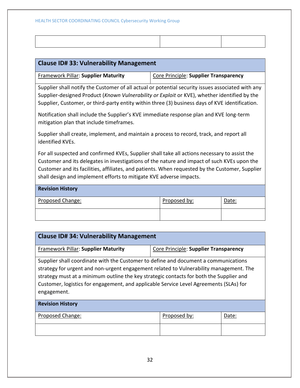| <b>Clause ID#33: Vulnerability Management</b>                                                                                                                                                                                                                                                                                                                          |                                       |       |
|------------------------------------------------------------------------------------------------------------------------------------------------------------------------------------------------------------------------------------------------------------------------------------------------------------------------------------------------------------------------|---------------------------------------|-------|
| <b>Framework Pillar: Supplier Maturity</b>                                                                                                                                                                                                                                                                                                                             | Core Principle: Supplier Transparency |       |
| Supplier shall notify the Customer of all actual or potential security issues associated with any<br>Supplier-designed Product (Known Vulnerability or Exploit or KVE), whether identified by the<br>Supplier, Customer, or third-party entity within three (3) business days of KVE identification.                                                                   |                                       |       |
| Notification shall include the Supplier's KVE immediate response plan and KVE long-term<br>mitigation plan that include timeframes.                                                                                                                                                                                                                                    |                                       |       |
| Supplier shall create, implement, and maintain a process to record, track, and report all<br>identified KVEs.                                                                                                                                                                                                                                                          |                                       |       |
| For all suspected and confirmed KVEs, Supplier shall take all actions necessary to assist the<br>Customer and its delegates in investigations of the nature and impact of such KVEs upon the<br>Customer and its facilities, affiliates, and patients. When requested by the Customer, Supplier<br>shall design and implement efforts to mitigate KVE adverse impacts. |                                       |       |
| <b>Revision History</b>                                                                                                                                                                                                                                                                                                                                                |                                       |       |
| <b>Proposed Change:</b>                                                                                                                                                                                                                                                                                                                                                | Proposed by:                          | Date: |
|                                                                                                                                                                                                                                                                                                                                                                        |                                       |       |

| <b>Clause ID# 34: Vulnerability Management</b>                                                                                                                                                                                                                                                                                                                                    |                                       |  |  |  |
|-----------------------------------------------------------------------------------------------------------------------------------------------------------------------------------------------------------------------------------------------------------------------------------------------------------------------------------------------------------------------------------|---------------------------------------|--|--|--|
| <b>Framework Pillar: Supplier Maturity</b>                                                                                                                                                                                                                                                                                                                                        | Core Principle: Supplier Transparency |  |  |  |
| Supplier shall coordinate with the Customer to define and document a communications<br>strategy for urgent and non-urgent engagement related to Vulnerability management. The<br>strategy must at a minimum outline the key strategic contacts for both the Supplier and<br>Customer, logistics for engagement, and applicable Service Level Agreements (SLAs) for<br>engagement. |                                       |  |  |  |
| <b>Revision History</b>                                                                                                                                                                                                                                                                                                                                                           |                                       |  |  |  |
| Proposed Change:<br>Proposed by:<br>Date:                                                                                                                                                                                                                                                                                                                                         |                                       |  |  |  |
|                                                                                                                                                                                                                                                                                                                                                                                   |                                       |  |  |  |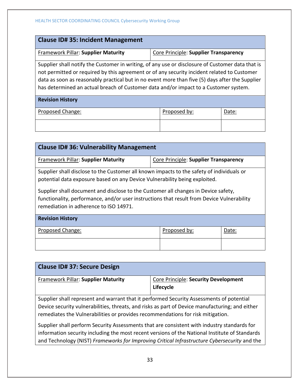| <b>Clause ID# 35: Incident Management</b>                                                                                                                                                                                                                                                                                                                                                  |                                       |  |  |  |
|--------------------------------------------------------------------------------------------------------------------------------------------------------------------------------------------------------------------------------------------------------------------------------------------------------------------------------------------------------------------------------------------|---------------------------------------|--|--|--|
| Framework Pillar: Supplier Maturity                                                                                                                                                                                                                                                                                                                                                        | Core Principle: Supplier Transparency |  |  |  |
| Supplier shall notify the Customer in writing, of any use or disclosure of Customer data that is<br>not permitted or required by this agreement or of any security incident related to Customer<br>data as soon as reasonably practical but in no event more than five (5) days after the Supplier<br>has determined an actual breach of Customer data and/or impact to a Customer system. |                                       |  |  |  |
| <b>Revision History</b>                                                                                                                                                                                                                                                                                                                                                                    |                                       |  |  |  |
| Proposed Change:<br>Proposed by:<br>Date:                                                                                                                                                                                                                                                                                                                                                  |                                       |  |  |  |
|                                                                                                                                                                                                                                                                                                                                                                                            |                                       |  |  |  |

| <b>Clause ID# 36: Vulnerability Management</b>                                                                                                                                                                                                                                                                                                                                                        |                                       |  |  |  |
|-------------------------------------------------------------------------------------------------------------------------------------------------------------------------------------------------------------------------------------------------------------------------------------------------------------------------------------------------------------------------------------------------------|---------------------------------------|--|--|--|
| Framework Pillar: Supplier Maturity                                                                                                                                                                                                                                                                                                                                                                   | Core Principle: Supplier Transparency |  |  |  |
| Supplier shall disclose to the Customer all known impacts to the safety of individuals or<br>potential data exposure based on any Device Vulnerability being exploited.<br>Supplier shall document and disclose to the Customer all changes in Device safety,<br>functionality, performance, and/or user instructions that result from Device Vulnerability<br>remediation in adherence to ISO 14971. |                                       |  |  |  |
| <b>Revision History</b>                                                                                                                                                                                                                                                                                                                                                                               |                                       |  |  |  |
| Proposed Change:<br>Proposed by:<br>Date:                                                                                                                                                                                                                                                                                                                                                             |                                       |  |  |  |
|                                                                                                                                                                                                                                                                                                                                                                                                       |                                       |  |  |  |

| <b>Clause ID# 37: Secure Design</b>                                                                                                                                                                                                                                            |                                                   |  |
|--------------------------------------------------------------------------------------------------------------------------------------------------------------------------------------------------------------------------------------------------------------------------------|---------------------------------------------------|--|
| <b>Framework Pillar: Supplier Maturity</b>                                                                                                                                                                                                                                     | Core Principle: Security Development<br>Lifecycle |  |
| Supplier shall represent and warrant that it performed Security Assessments of potential<br>Device security vulnerabilities, threats, and risks as part of Device manufacturing; and either<br>remediates the Vulnerabilities or provides recommendations for risk mitigation. |                                                   |  |
| Supplier shall perform Security Assessments that are consistent with industry standards for<br>the contract of the contract of the contract of the contract of the contract of the contract of the contract of                                                                 |                                                   |  |

information security including the most recent versions of the National Institute of Standards and Technology (NIST) *Frameworks for Improving Critical Infrastructure Cybersecurity* and the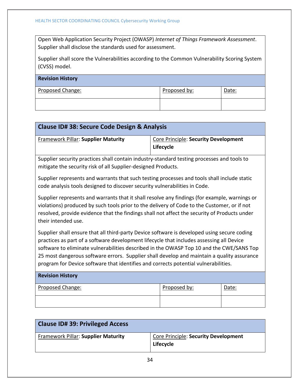Open Web Application Security Project (OWASP) *Internet of Things Framework Assessment*. Supplier shall disclose the standards used for assessment.

Supplier shall score the Vulnerabilities according to the Common Vulnerability Scoring System (CVSS) model.

| <b>Revision History</b> |              |       |
|-------------------------|--------------|-------|
| Proposed Change:        | Proposed by: | Date: |
|                         |              |       |

| <b>Clause ID# 38: Secure Code Design &amp; Analysis</b>                                                                                                                                                                                                                                                                                                                                                                                                                  |                                                   |       |
|--------------------------------------------------------------------------------------------------------------------------------------------------------------------------------------------------------------------------------------------------------------------------------------------------------------------------------------------------------------------------------------------------------------------------------------------------------------------------|---------------------------------------------------|-------|
| <b>Framework Pillar: Supplier Maturity</b>                                                                                                                                                                                                                                                                                                                                                                                                                               | Core Principle: Security Development<br>Lifecycle |       |
| Supplier security practices shall contain industry-standard testing processes and tools to<br>mitigate the security risk of all Supplier-designed Products.                                                                                                                                                                                                                                                                                                              |                                                   |       |
| Supplier represents and warrants that such testing processes and tools shall include static<br>code analysis tools designed to discover security vulnerabilities in Code.                                                                                                                                                                                                                                                                                                |                                                   |       |
| Supplier represents and warrants that it shall resolve any findings (for example, warnings or<br>violations) produced by such tools prior to the delivery of Code to the Customer, or if not<br>resolved, provide evidence that the findings shall not affect the security of Products under<br>their intended use.                                                                                                                                                      |                                                   |       |
| Supplier shall ensure that all third-party Device software is developed using secure coding<br>practices as part of a software development lifecycle that includes assessing all Device<br>software to eliminate vulnerabilities described in the OWASP Top 10 and the CWE/SANS Top<br>25 most dangerous software errors. Supplier shall develop and maintain a quality assurance<br>program for Device software that identifies and corrects potential vulnerabilities. |                                                   |       |
| <b>Revision History</b>                                                                                                                                                                                                                                                                                                                                                                                                                                                  |                                                   |       |
| Proposed Change:                                                                                                                                                                                                                                                                                                                                                                                                                                                         | Proposed by:                                      | Date: |
|                                                                                                                                                                                                                                                                                                                                                                                                                                                                          |                                                   |       |

| <b>Clause ID# 39: Privileged Access</b> |                                                   |
|-----------------------------------------|---------------------------------------------------|
| Framework Pillar: Supplier Maturity     | Core Principle: Security Development<br>Lifecycle |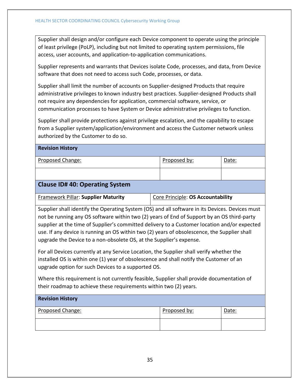Supplier shall design and/or configure each Device component to operate using the principle of least privilege (PoLP), including but not limited to operating system permissions, file access, user accounts, and application-to-application communications.

Supplier represents and warrants that Devices isolate Code, processes, and data, from Device software that does not need to access such Code, processes, or data.

Supplier shall limit the number of accounts on Supplier-designed Products that require administrative privileges to known industry best practices. Supplier-designed Products shall not require any dependencies for application, commercial software, service, or communication processes to have System or Device administrative privileges to function.

Supplier shall provide protections against privilege escalation, and the capability to escape from a Supplier system/application/environment and access the Customer network unless authorized by the Customer to do so.

**Revision History**

| Proposed Change:                                                                                                                                                                                                                                                                                                                                                                                                                                                     | Proposed by:                      | Date: |  |
|----------------------------------------------------------------------------------------------------------------------------------------------------------------------------------------------------------------------------------------------------------------------------------------------------------------------------------------------------------------------------------------------------------------------------------------------------------------------|-----------------------------------|-------|--|
|                                                                                                                                                                                                                                                                                                                                                                                                                                                                      |                                   |       |  |
| <b>Clause ID# 40: Operating System</b>                                                                                                                                                                                                                                                                                                                                                                                                                               |                                   |       |  |
| <b>Framework Pillar: Supplier Maturity</b>                                                                                                                                                                                                                                                                                                                                                                                                                           | Core Principle: OS Accountability |       |  |
| Supplier shall identify the Operating System (OS) and all software in its Devices. Devices must<br>not be running any OS software within two (2) years of End of Support by an OS third-party<br>supplier at the time of Supplier's committed delivery to a Customer location and/or expected<br>use. If any device is running an OS within two (2) years of obsolescence, the Supplier shall<br>upgrade the Device to a non-obsolete OS, at the Supplier's expense. |                                   |       |  |
| For all Devices currently at any Service Location, the Supplier shall verify whether the<br>installed OS is within one (1) year of obsolescence and shall notify the Customer of an<br>upgrade option for such Devices to a supported OS.                                                                                                                                                                                                                            |                                   |       |  |

Where this requirement is not currently feasible, Supplier shall provide documentation of their roadmap to achieve these requirements within two (2) years.

| <b>Revision History</b> |              |       |
|-------------------------|--------------|-------|
| Proposed Change:        | Proposed by: | Date: |
|                         |              |       |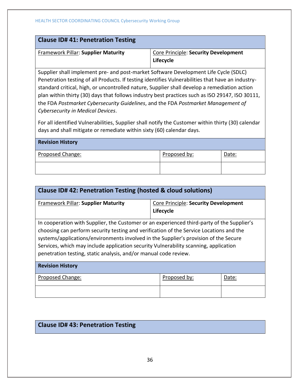| <b>Clause ID# 41: Penetration Testing</b>                                            |                                                   |
|--------------------------------------------------------------------------------------|---------------------------------------------------|
| Framework Pillar: Supplier Maturity                                                  | Core Principle: Security Development<br>Lifecycle |
| Supplier shall implement pre- and post-market Software Development Life Cycle (SDLC) |                                                   |

Penetration testing of all Products. If testing identifies Vulnerabilities that have an industrystandard critical, high, or uncontrolled nature, Supplier shall develop a remediation action plan within thirty (30) days that follows industry best practices such as ISO 29147, ISO 30111, the FDA *Postmarket Cybersecurity Guidelines*, and the FDA *Postmarket Management of Cybersecurity in Medical Devices*.

For all identified Vulnerabilities, Supplier shall notify the Customer within thirty (30) calendar days and shall mitigate or remediate within sixty (60) calendar days.

| <b>Revision History</b> |              |       |
|-------------------------|--------------|-------|
| <b>Proposed Change:</b> | Proposed by: | Date: |
|                         |              |       |

| <b>Clause ID# 42: Penetration Testing (hosted &amp; cloud solutions)</b>                                                                                                                                                                                                                                                                                                                                                                  |                                                   |       |  |
|-------------------------------------------------------------------------------------------------------------------------------------------------------------------------------------------------------------------------------------------------------------------------------------------------------------------------------------------------------------------------------------------------------------------------------------------|---------------------------------------------------|-------|--|
| Framework Pillar: Supplier Maturity                                                                                                                                                                                                                                                                                                                                                                                                       | Core Principle: Security Development<br>Lifecycle |       |  |
| In cooperation with Supplier, the Customer or an experienced third-party of the Supplier's<br>choosing can perform security testing and verification of the Service Locations and the<br>systems/applications/environments involved in the Supplier's provision of the Secure<br>Services, which may include application security Vulnerability scanning, application<br>penetration testing, static analysis, and/or manual code review. |                                                   |       |  |
| <b>Revision History</b>                                                                                                                                                                                                                                                                                                                                                                                                                   |                                                   |       |  |
| Proposed Change:                                                                                                                                                                                                                                                                                                                                                                                                                          | Proposed by:                                      | Date: |  |
|                                                                                                                                                                                                                                                                                                                                                                                                                                           |                                                   |       |  |

# **Clause ID# 43: Penetration Testing**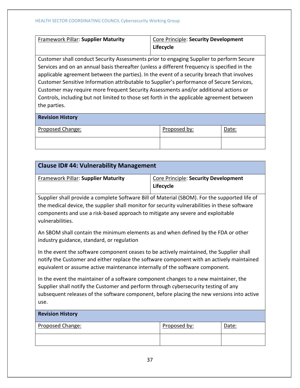| Framework Pillar: Supplier Maturity                                                      | Core Principle: Security Development<br>Lifecycle                                                                              |
|------------------------------------------------------------------------------------------|--------------------------------------------------------------------------------------------------------------------------------|
| Customer shall conduct Security Assessments prior to engaging Supplier to perform Secure |                                                                                                                                |
|                                                                                          | $\mathbf{r}$ , and $\mathbf{r}$ , and $\mathbf{r}$ , and $\mathbf{r}$ , and $\mathbf{r}$ , and $\mathbf{r}$ , and $\mathbf{r}$ |

Services and on an annual basis thereafter (unless a different frequency is specified in the applicable agreement between the parties). In the event of a security breach that involves Customer Sensitive Information attributable to Supplier's performance of Secure Services, Customer may require more frequent Security Assessments and/or additional actions or Controls, including but not limited to those set forth in the applicable agreement between the parties.

# **Revision History**

| Proposed Change: | Proposed by: | Date: |
|------------------|--------------|-------|
|                  |              |       |

| <b>Clause ID# 44: Vulnerability Management</b>                                                                                                                                                                                                                                                        |                                                          |       |  |
|-------------------------------------------------------------------------------------------------------------------------------------------------------------------------------------------------------------------------------------------------------------------------------------------------------|----------------------------------------------------------|-------|--|
| <b>Framework Pillar: Supplier Maturity</b>                                                                                                                                                                                                                                                            | <b>Core Principle: Security Development</b><br>Lifecycle |       |  |
| Supplier shall provide a complete Software Bill of Material (SBOM). For the supported life of<br>the medical device, the supplier shall monitor for security vulnerabilities in these software<br>components and use a risk-based approach to mitigate any severe and exploitable<br>vulnerabilities. |                                                          |       |  |
| An SBOM shall contain the minimum elements as and when defined by the FDA or other<br>industry guidance, standard, or regulation                                                                                                                                                                      |                                                          |       |  |
| In the event the software component ceases to be actively maintained, the Supplier shall<br>notify the Customer and either replace the software component with an actively maintained<br>equivalent or assume active maintenance internally of the software component.                                |                                                          |       |  |
| In the event the maintainer of a software component changes to a new maintainer, the<br>Supplier shall notify the Customer and perform through cybersecurity testing of any<br>subsequent releases of the software component, before placing the new versions into active<br>use.                     |                                                          |       |  |
| <b>Revision History</b>                                                                                                                                                                                                                                                                               |                                                          |       |  |
| Proposed Change:                                                                                                                                                                                                                                                                                      | Proposed by:                                             | Date: |  |
|                                                                                                                                                                                                                                                                                                       |                                                          |       |  |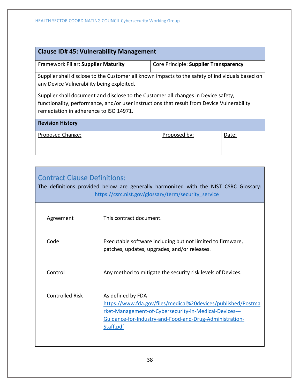| <b>Clause ID# 45: Vulnerability Management</b>                                                                                                                                                                             |                                       |       |  |
|----------------------------------------------------------------------------------------------------------------------------------------------------------------------------------------------------------------------------|---------------------------------------|-------|--|
| Framework Pillar: Supplier Maturity                                                                                                                                                                                        | Core Principle: Supplier Transparency |       |  |
| Supplier shall disclose to the Customer all known impacts to the safety of individuals based on<br>any Device Vulnerability being exploited.                                                                               |                                       |       |  |
| Supplier shall document and disclose to the Customer all changes in Device safety,<br>functionality, performance, and/or user instructions that result from Device Vulnerability<br>remediation in adherence to ISO 14971. |                                       |       |  |
| <b>Revision History</b>                                                                                                                                                                                                    |                                       |       |  |
| Proposed Change:                                                                                                                                                                                                           | Proposed by:                          | Date: |  |
|                                                                                                                                                                                                                            |                                       |       |  |

<span id="page-38-0"></span>

| <b>Contract Clause Definitions:</b> | The definitions provided below are generally harmonized with the NIST CSRC Glossary:<br>https://csrc.nist.gov/glossary/term/security service                                                                        |
|-------------------------------------|---------------------------------------------------------------------------------------------------------------------------------------------------------------------------------------------------------------------|
| Agreement                           | This contract document.                                                                                                                                                                                             |
| Code                                | Executable software including but not limited to firmware,<br>patches, updates, upgrades, and/or releases.                                                                                                          |
| Control                             | Any method to mitigate the security risk levels of Devices.                                                                                                                                                         |
| <b>Controlled Risk</b>              | As defined by FDA<br>https://www.fda.gov/files/medical%20devices/published/Postma<br>rket-Management-of-Cybersecurity-in-Medical-Devices---<br>Guidance-for-Industry-and-Food-and-Drug-Administration-<br>Staff.pdf |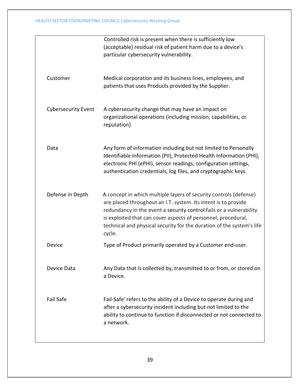|                            | Controlled risk is present when there is sufficiently low<br>(acceptable) residual risk of patient harm due to a device's<br>particular cybersecurity vulnerability.                                                                                                                                                                                           |
|----------------------------|----------------------------------------------------------------------------------------------------------------------------------------------------------------------------------------------------------------------------------------------------------------------------------------------------------------------------------------------------------------|
| Customer                   | Medical corporation and its business lines, employees, and<br>patients that uses Products provided by the Supplier.                                                                                                                                                                                                                                            |
| <b>Cybersecurity Event</b> | A cybersecurity change that may have an impact on<br>organizational operations (including mission, capabilities, or<br>reputation)                                                                                                                                                                                                                             |
| Data                       | Any form of information including but not limited to Personally<br>Identifiable Information (PII), Protected Health Information (PHI),<br>electronic PHI (ePHI), sensor readings, configuration settings,<br>authentication credentials, log files, and cryptographic keys.                                                                                    |
| Defense in Depth           | A concept in which multiple layers of security controls (defense)<br>are placed throughout an I.T. system. Its intent is to provide<br>redundancy in the event a security control fails or a vulnerability<br>is exploited that can cover aspects of personnel, procedural,<br>technical and physical security for the duration of the system's life<br>cycle. |
| Device                     | Type of Product primarily operated by a Customer end-user.                                                                                                                                                                                                                                                                                                     |
| Device Data                | Any Data that is collected by, transmitted to or from, or stored on<br>a Device.                                                                                                                                                                                                                                                                               |
| Fail Safe                  | Fail-Safe' refers to the ability of a Device to operate during and<br>after a cybersecurity incident including but not limited to the<br>ability to continue to function if disconnected or not connected to<br>a network.                                                                                                                                     |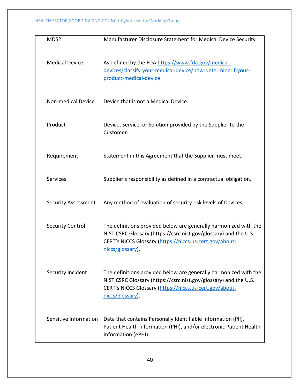| MDS2                       | Manufacturer Disclosure Statement for Medical Device Security                                                                                                                                                       |
|----------------------------|---------------------------------------------------------------------------------------------------------------------------------------------------------------------------------------------------------------------|
| <b>Medical Device</b>      | As defined by the FDA https://www.fda.gov/medical-<br>devices/classify-your-medical-device/how-determine-if-your-<br>product-medical-device.                                                                        |
| <b>Non-medical Device</b>  | Device that is not a Medical Device.                                                                                                                                                                                |
| Product                    | Device, Service, or Solution provided by the Supplier to the<br>Customer.                                                                                                                                           |
| Requirement                | Statement in this Agreement that the Supplier must meet.                                                                                                                                                            |
| <b>Services</b>            | Supplier's responsibility as defined in a contractual obligation.                                                                                                                                                   |
| <b>Security Assessment</b> | Any method of evaluation of security risk levels of Devices.                                                                                                                                                        |
| <b>Security Control</b>    | The definitions provided below are generally harmonized with the<br>NIST CSRC Glossary (https://csrc.nist.gov/glossary) and the U.S.<br>CERT's NICCS Glossary (https://niccs.us-cert.gov/about-<br>niccs/glossary). |
| Security Incident          | The definitions provided below are generally harmonized with the<br>NIST CSRC Glossary (https://csrc.nist.gov/glossary) and the U.S.<br>CERT's NICCS Glossary (https://niccs.us-cert.gov/about-<br>niccs/glossary). |
| Sensitive Information      | Data that contains Personally Identifiable Information (PII),<br>Patient Health Information (PHI), and/or electronic Patient Health<br>Information (ePHI).                                                          |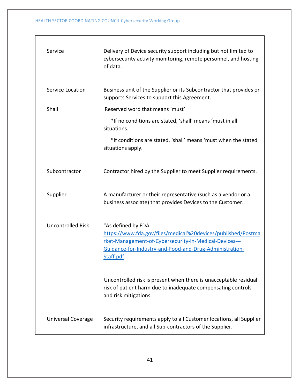| Service                   | Delivery of Device security support including but not limited to<br>cybersecurity activity monitoring, remote personnel, and hosting<br>of data.                                                                     |
|---------------------------|----------------------------------------------------------------------------------------------------------------------------------------------------------------------------------------------------------------------|
| Service Location          | Business unit of the Supplier or its Subcontractor that provides or<br>supports Services to support this Agreement.                                                                                                  |
| Shall                     | Reserved word that means 'must'                                                                                                                                                                                      |
|                           | *If no conditions are stated, 'shall' means 'must in all<br>situations.                                                                                                                                              |
|                           | *If conditions are stated, 'shall' means 'must when the stated<br>situations apply.                                                                                                                                  |
| Subcontractor             | Contractor hired by the Supplier to meet Supplier requirements.                                                                                                                                                      |
| Supplier                  | A manufacturer or their representative (such as a vendor or a<br>business associate) that provides Devices to the Customer.                                                                                          |
| <b>Uncontrolled Risk</b>  | "As defined by FDA<br>https://www.fda.gov/files/medical%20devices/published/Postma<br>rket-Management-of-Cybersecurity-in-Medical-Devices---<br>Guidance-for-Industry-and-Food-and-Drug-Administration-<br>Staff.pdf |
|                           | Uncontrolled risk is present when there is unacceptable residual<br>risk of patient harm due to inadequate compensating controls<br>and risk mitigations.                                                            |
| <b>Universal Coverage</b> | Security requirements apply to all Customer locations, all Supplier<br>infrastructure, and all Sub-contractors of the Supplier.                                                                                      |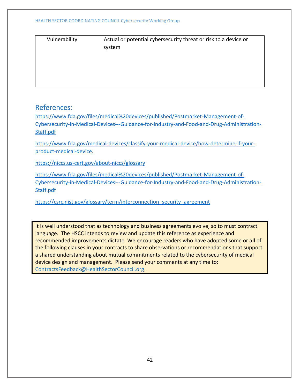| Vulnerability |  |  |
|---------------|--|--|
|               |  |  |
|               |  |  |

Actual or potential cybersecurity threat or risk to a device or system

# <span id="page-42-0"></span>References:

[https://www.fda.gov/files/medical%20devices/published/Postmarket-Management-of-](https://www.fda.gov/files/medical%20devices/published/Postmarket-Management-of-Cybersecurity-in-Medical-Devices---Guidance-for-Industry-and-Food-and-Drug-Administration-Staff.pdf)[Cybersecurity-in-Medical-Devices---Guidance-for-Industry-and-Food-and-Drug-Administration-](https://www.fda.gov/files/medical%20devices/published/Postmarket-Management-of-Cybersecurity-in-Medical-Devices---Guidance-for-Industry-and-Food-and-Drug-Administration-Staff.pdf)[Staff.pdf](https://www.fda.gov/files/medical%20devices/published/Postmarket-Management-of-Cybersecurity-in-Medical-Devices---Guidance-for-Industry-and-Food-and-Drug-Administration-Staff.pdf)

[https://www.fda.gov/medical-devices/classify-your-medical-device/how-determine-if-your](https://www.fda.gov/medical-devices/classify-your-medical-device/how-determine-if-your-product-medical-device)[product-medical-device.](https://www.fda.gov/medical-devices/classify-your-medical-device/how-determine-if-your-product-medical-device)

<https://niccs.us-cert.gov/about-niccs/glossary>

[https://www.fda.gov/files/medical%20devices/published/Postmarket-Management-of-](https://www.fda.gov/files/medical%20devices/published/Postmarket-Management-of-Cybersecurity-in-Medical-Devices---Guidance-for-Industry-and-Food-and-Drug-Administration-Staff.pdf)[Cybersecurity-in-Medical-Devices---Guidance-for-Industry-and-Food-and-Drug-Administration-](https://www.fda.gov/files/medical%20devices/published/Postmarket-Management-of-Cybersecurity-in-Medical-Devices---Guidance-for-Industry-and-Food-and-Drug-Administration-Staff.pdf)[Staff.pdf](https://www.fda.gov/files/medical%20devices/published/Postmarket-Management-of-Cybersecurity-in-Medical-Devices---Guidance-for-Industry-and-Food-and-Drug-Administration-Staff.pdf)

[https://csrc.nist.gov/glossary/term/interconnection\\_security\\_agreement](https://csrc.nist.gov/glossary/term/interconnection_security_agreement)

It is well understood that as technology and business agreements evolve, so to must contract language. The HSCC intends to review and update this reference as experience and recommended improvements dictate. We encourage readers who have adopted some or all of the following clauses in your contracts to share observations or recommendations that support a shared understanding about mutual commitments related to the cybersecurity of medical device design and management. Please send your comments at any time to: [ContractsFeedback@HealthSectorCouncil.org.](mailto:ContractsFeedback@HealthSectorCouncil.org)